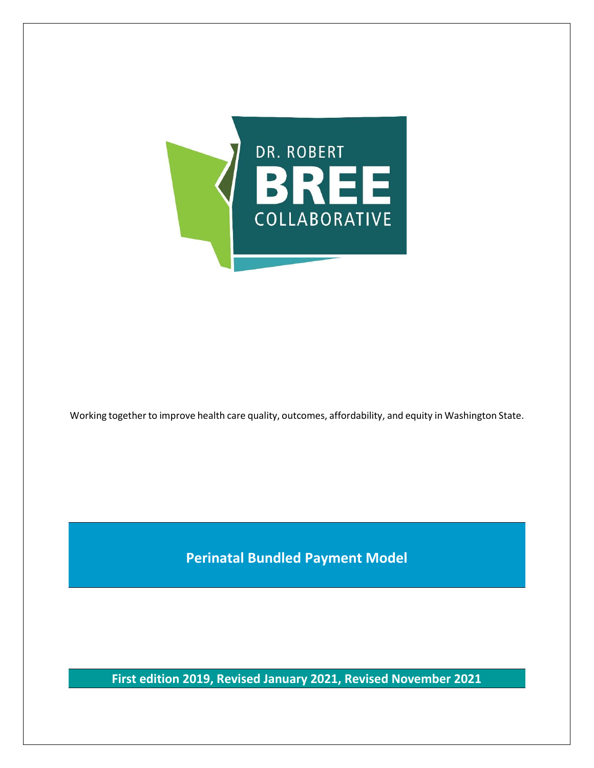

Working together to improve health care quality, outcomes, affordability, and equity in Washington State.

**Perinatal Bundled Payment Model** 

**First edition 2019, Revised January 2021, Revised November 2021**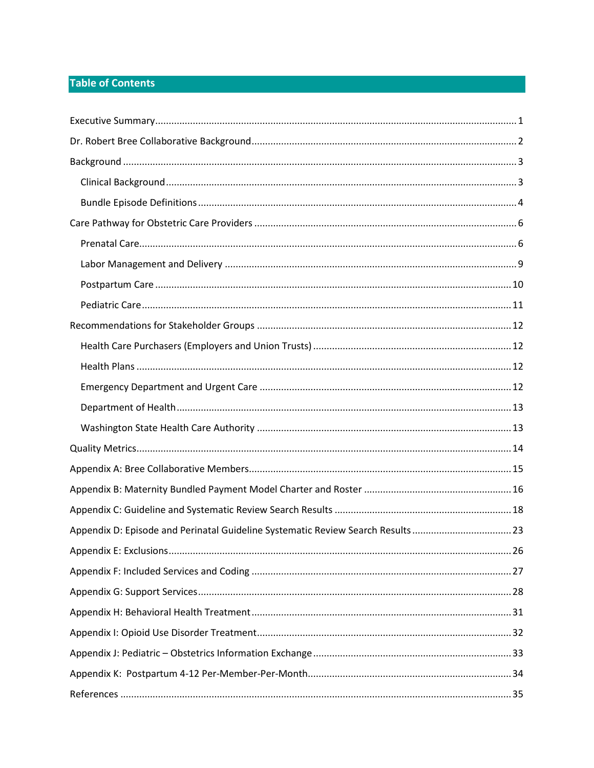# **Table of Contents**

<span id="page-1-0"></span>

| Appendix D: Episode and Perinatal Guideline Systematic Review Search Results23 |
|--------------------------------------------------------------------------------|
|                                                                                |
|                                                                                |
|                                                                                |
|                                                                                |
|                                                                                |
|                                                                                |
|                                                                                |
|                                                                                |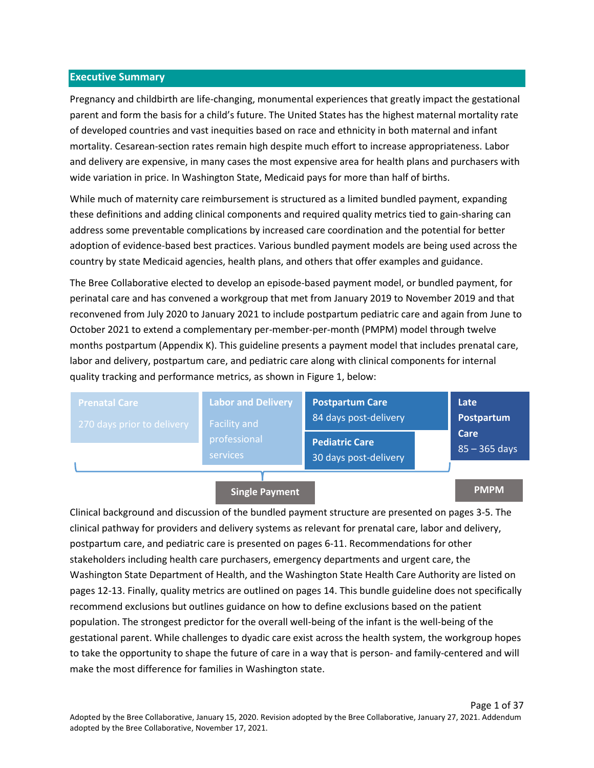#### **Executive Summary**

Pregnancy and childbirth are life-changing, monumental experiences that greatly impact the gestational parent and form the basis for a child's future. The United States has the highest maternal mortality rate of developed countries and vast inequities based on race and ethnicity in both maternal and infant mortality. Cesarean-section rates remain high despite much effort to increase appropriateness. Labor and delivery are expensive, in many cases the most expensive area for health plans and purchasers with wide variation in price. In Washington State, Medicaid pays for more than half of births.

While much of maternity care reimbursement is structured as a limited bundled payment, expanding these definitions and adding clinical components and required quality metrics tied to gain-sharing can address some preventable complications by increased care coordination and the potential for better adoption of evidence-based best practices. Various bundled payment models are being used across the country by state Medicaid agencies, health plans, and others that offer examples and guidance.

The Bree Collaborative elected to develop an episode-based payment model, or bundled payment, for perinatal care and has convened a workgroup that met from January 2019 to November 2019 and that reconvened from July 2020 to January 2021 to include postpartum pediatric care and again from June to October 2021 to extend a complementary per-member-per-month (PMPM) model through twelve months postpartum (Appendix K). This guideline presents a payment model that includes prenatal care, labor and delivery, postpartum care, and pediatric care along with clinical components for internal quality tracking and performance metrics, as shown in Figure 1, below:



#### **Single Payment**

Clinical background and discussion of the bundled payment structure are presented on pages 3-5. The clinical pathway for providers and delivery systems as relevant for prenatal care, labor and delivery, postpartum care, and pediatric care is presented on pages 6-11. Recommendations for other stakeholders including health care purchasers, emergency departments and urgent care, the Washington State Department of Health, and the Washington State Health Care Authority are listed on pages 12-13. Finally, quality metrics are outlined on pages 14. This bundle guideline does not specifically recommend exclusions but outlines guidance on how to define exclusions based on the patient population. The strongest predictor for the overall well-being of the infant is the well-being of the gestational parent. While challenges to dyadic care exist across the health system, the workgroup hopes to take the opportunity to shape the future of care in a way that is person- and family-centered and will make the most difference for families in Washington state.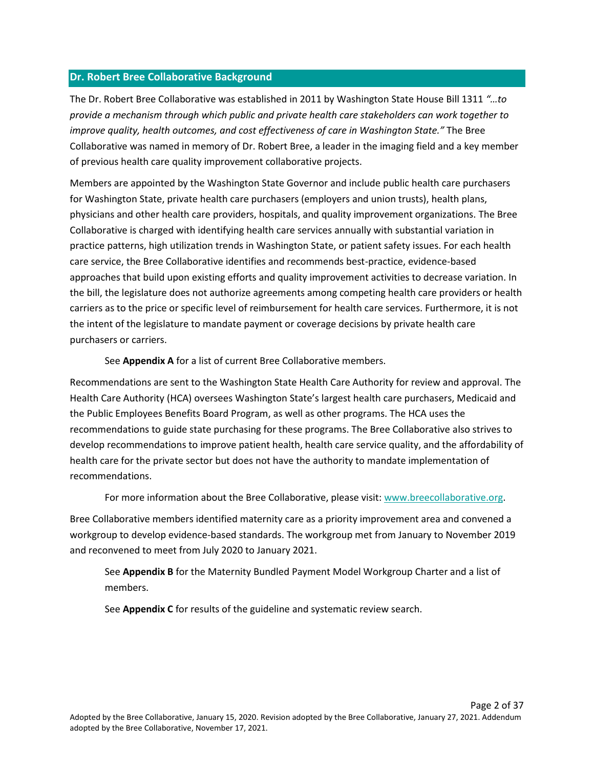#### <span id="page-3-0"></span>**Dr. Robert Bree Collaborative Background**

The Dr. Robert Bree Collaborative was established in 2011 by Washington State House Bill 1311 *"…to provide a mechanism through which public and private health care stakeholders can work together to improve quality, health outcomes, and cost effectiveness of care in Washington State."* The Bree Collaborative was named in memory of Dr. Robert Bree, a leader in the imaging field and a key member of previous health care quality improvement collaborative projects.

Members are appointed by the Washington State Governor and include public health care purchasers for Washington State, private health care purchasers (employers and union trusts), health plans, physicians and other health care providers, hospitals, and quality improvement organizations. The Bree Collaborative is charged with identifying health care services annually with substantial variation in practice patterns, high utilization trends in Washington State, or patient safety issues. For each health care service, the Bree Collaborative identifies and recommends best-practice, evidence-based approaches that build upon existing efforts and quality improvement activities to decrease variation. In the bill, the legislature does not authorize agreements among competing health care providers or health carriers as to the price or specific level of reimbursement for health care services. Furthermore, it is not the intent of the legislature to mandate payment or coverage decisions by private health care purchasers or carriers.

See **Appendix A** for a list of current Bree Collaborative members.

Recommendations are sent to the Washington State Health Care Authority for review and approval. The Health Care Authority (HCA) oversees Washington State's largest health care purchasers, Medicaid and the Public Employees Benefits Board Program, as well as other programs. The HCA uses the recommendations to guide state purchasing for these programs. The Bree Collaborative also strives to develop recommendations to improve patient health, health care service quality, and the affordability of health care for the private sector but does not have the authority to mandate implementation of recommendations.

For more information about the Bree Collaborative, please visit: [www.breecollaborative.org.](http://www.breecollaborative.org/)

Bree Collaborative members identified maternity care as a priority improvement area and convened a workgroup to develop evidence-based standards. The workgroup met from January to November 2019 and reconvened to meet from July 2020 to January 2021.

See **Appendix B** for the Maternity Bundled Payment Model Workgroup Charter and a list of members.

See **Appendix C** for results of the guideline and systematic review search.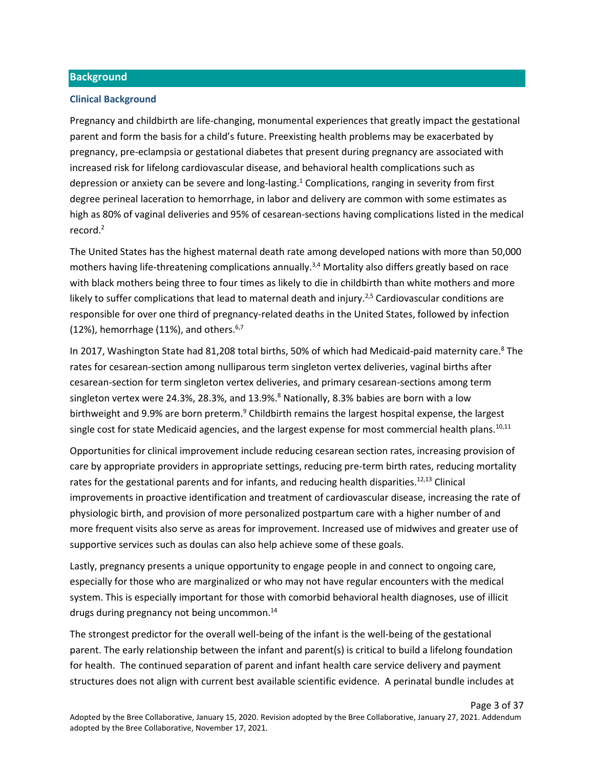#### <span id="page-4-0"></span>**Background**

#### <span id="page-4-1"></span>**Clinical Background**

Pregnancy and childbirth are life-changing, monumental experiences that greatly impact the gestational parent and form the basis for a child's future. Preexisting health problems may be exacerbated by pregnancy, pre-eclampsia or gestational diabetes that present during pregnancy are associated with increased risk for lifelong cardiovascular disease, and behavioral health complications such as depression or anxiety can be severe and long-lasting.<sup>1</sup> Complications, ranging in severity from first degree perineal laceration to hemorrhage, in labor and delivery are common with some estimates as high as 80% of vaginal deliveries and 95% of cesarean-sections having complications listed in the medical record.<sup>2</sup>

The United States has the highest maternal death rate among developed nations with more than 50,000 mothers having life-threatening complications annually.<sup>3,4</sup> Mortality also differs greatly based on race with black mothers being three to four times as likely to die in childbirth than white mothers and more likely to suffer complications that lead to maternal death and injury.<sup>2,5</sup> Cardiovascular conditions are responsible for over one third of pregnancy-related deaths in the United States, followed by infection (12%), hemorrhage (11%), and others. $6,7$ 

In 2017, Washington State had 81,208 total births, 50% of which had Medicaid-paid maternity care.<sup>8</sup> The rates for cesarean-section among nulliparous term singleton vertex deliveries, vaginal births after cesarean-section for term singleton vertex deliveries, and primary cesarean-sections among term singleton vertex were 24.3%, 28.3%, and 13.9%.<sup>8</sup> Nationally, 8.3% babies are born with a low birthweight and 9.9% are born preterm.<sup>9</sup> Childbirth remains the largest hospital expense, the largest single cost for state Medicaid agencies, and the largest expense for most commercial health plans. $10,11$ 

Opportunities for clinical improvement include reducing cesarean section rates, increasing provision of care by appropriate providers in appropriate settings, reducing pre-term birth rates, reducing mortality rates for the gestational parents and for infants, and reducing health disparities.<sup>12,13</sup> Clinical improvements in proactive identification and treatment of cardiovascular disease, increasing the rate of physiologic birth, and provision of more personalized postpartum care with a higher number of and more frequent visits also serve as areas for improvement. Increased use of midwives and greater use of supportive services such as doulas can also help achieve some of these goals.

Lastly, pregnancy presents a unique opportunity to engage people in and connect to ongoing care, especially for those who are marginalized or who may not have regular encounters with the medical system. This is especially important for those with comorbid behavioral health diagnoses, use of illicit drugs during pregnancy not being uncommon.<sup>14</sup>

The strongest predictor for the overall well-being of the infant is the well-being of the gestational parent. The early relationship between the infant and parent(s) is critical to build a lifelong foundation for health. The continued separation of parent and infant health care service delivery and payment structures does not align with current best available scientific evidence. A perinatal bundle includes at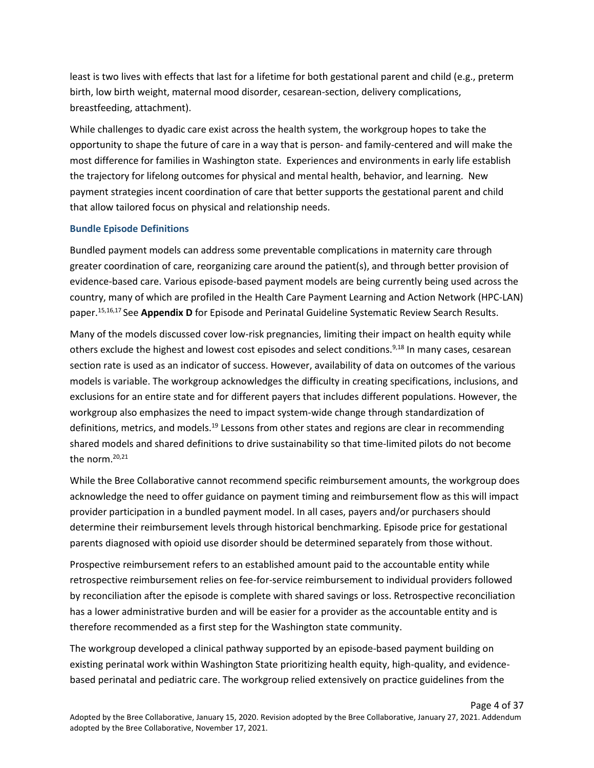least is two lives with effects that last for a lifetime for both gestational parent and child (e.g., preterm birth, low birth weight, maternal mood disorder, cesarean-section, delivery complications, breastfeeding, attachment).

While challenges to dyadic care exist across the health system, the workgroup hopes to take the opportunity to shape the future of care in a way that is person- and family-centered and will make the most difference for families in Washington state. Experiences and environments in early life establish the trajectory for lifelong outcomes for physical and mental health, behavior, and learning. New payment strategies incent coordination of care that better supports the gestational parent and child that allow tailored focus on physical and relationship needs.

# <span id="page-5-0"></span>**Bundle Episode Definitions**

Bundled payment models can address some preventable complications in maternity care through greater coordination of care, reorganizing care around the patient(s), and through better provision of evidence-based care. Various episode-based payment models are being currently being used across the country, many of which are profiled in the Health Care Payment Learning and Action Network (HPC-LAN) paper. 15,16,17 See **Appendix D** for Episode and Perinatal Guideline Systematic Review Search Results.

Many of the models discussed cover low-risk pregnancies, limiting their impact on health equity while others exclude the highest and lowest cost episodes and select conditions.<sup>9,18</sup> In many cases, cesarean section rate is used as an indicator of success. However, availability of data on outcomes of the various models is variable. The workgroup acknowledges the difficulty in creating specifications, inclusions, and exclusions for an entire state and for different payers that includes different populations. However, the workgroup also emphasizes the need to impact system-wide change through standardization of definitions, metrics, and models.<sup>19</sup> Lessons from other states and regions are clear in recommending shared models and shared definitions to drive sustainability so that time-limited pilots do not become the norm. 20,21

While the Bree Collaborative cannot recommend specific reimbursement amounts, the workgroup does acknowledge the need to offer guidance on payment timing and reimbursement flow as this will impact provider participation in a bundled payment model. In all cases, payers and/or purchasers should determine their reimbursement levels through historical benchmarking. Episode price for gestational parents diagnosed with opioid use disorder should be determined separately from those without.

Prospective reimbursement refers to an established amount paid to the accountable entity while retrospective reimbursement relies on fee-for-service reimbursement to individual providers followed by reconciliation after the episode is complete with shared savings or loss. Retrospective reconciliation has a lower administrative burden and will be easier for a provider as the accountable entity and is therefore recommended as a first step for the Washington state community.

The workgroup developed a clinical pathway supported by an episode-based payment building on existing perinatal work within Washington State prioritizing health equity, high-quality, and evidencebased perinatal and pediatric care. The workgroup relied extensively on practice guidelines from the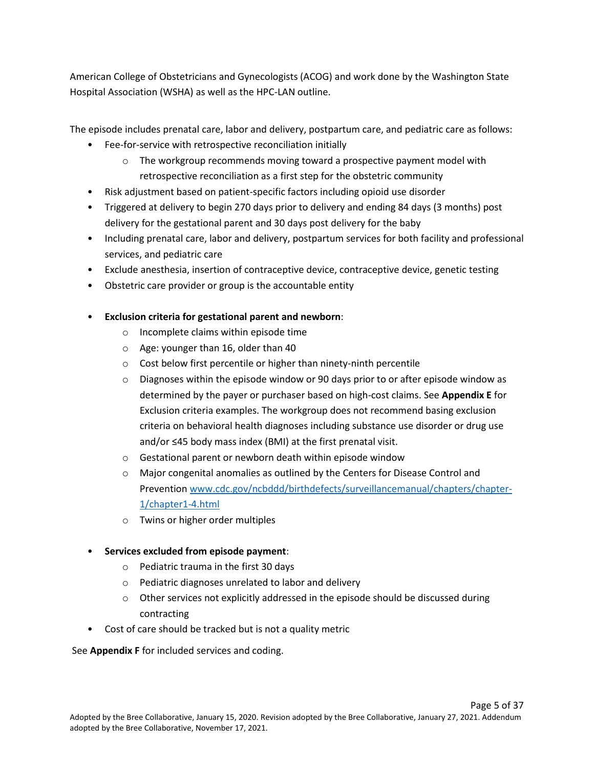American College of Obstetricians and Gynecologists (ACOG) and work done by the Washington State Hospital Association (WSHA) as well as the HPC-LAN outline.

The episode includes prenatal care, labor and delivery, postpartum care, and pediatric care as follows:

- Fee-for-service with retrospective reconciliation initially
	- $\circ$  The workgroup recommends moving toward a prospective payment model with retrospective reconciliation as a first step for the obstetric community
- Risk adjustment based on patient-specific factors including opioid use disorder
- Triggered at delivery to begin 270 days prior to delivery and ending 84 days (3 months) post delivery for the gestational parent and 30 days post delivery for the baby
- Including prenatal care, labor and delivery, postpartum services for both facility and professional services, and pediatric care
- Exclude anesthesia, insertion of contraceptive device, contraceptive device, genetic testing
- Obstetric care provider or group is the accountable entity
- **Exclusion criteria for gestational parent and newborn**:
	- o Incomplete claims within episode time
	- o Age: younger than 16, older than 40
	- o Cost below first percentile or higher than ninety-ninth percentile
	- $\circ$  Diagnoses within the episode window or 90 days prior to or after episode window as determined by the payer or purchaser based on high-cost claims. See **Appendix E** for Exclusion criteria examples. The workgroup does not recommend basing exclusion criteria on behavioral health diagnoses including substance use disorder or drug use and/or ≤45 body mass index (BMI) at the first prenatal visit.
	- o Gestational parent or newborn death within episode window
	- o Major congenital anomalies as outlined by the Centers for Disease Control and Preventio[n www.cdc.gov/ncbddd/birthdefects/surveillancemanual/chapters/chapter-](http://www.cdc.gov/ncbddd/birthdefects/surveillancemanual/chapters/chapter-1/chapter1-4.html)[1/chapter1-4.html](http://www.cdc.gov/ncbddd/birthdefects/surveillancemanual/chapters/chapter-1/chapter1-4.html)
	- o Twins or higher order multiples
- **Services excluded from episode payment**:
	- o Pediatric trauma in the first 30 days
	- o Pediatric diagnoses unrelated to labor and delivery
	- $\circ$  Other services not explicitly addressed in the episode should be discussed during contracting
- Cost of care should be tracked but is not a quality metric

# See **Appendix F** for included services and coding.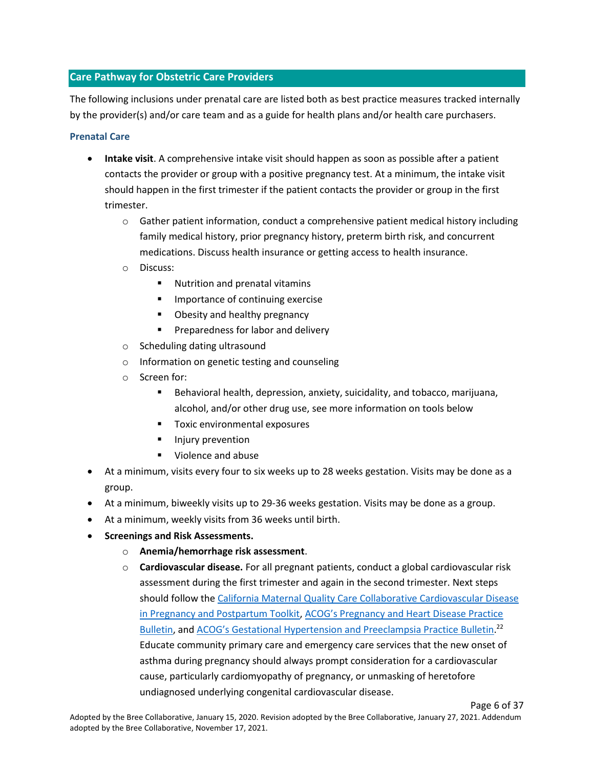# <span id="page-7-0"></span>**Care Pathway for Obstetric Care Providers**

The following inclusions under prenatal care are listed both as best practice measures tracked internally by the provider(s) and/or care team and as a guide for health plans and/or health care purchasers.

# <span id="page-7-1"></span>**Prenatal Care**

- **Intake visit**. A comprehensive intake visit should happen as soon as possible after a patient contacts the provider or group with a positive pregnancy test. At a minimum, the intake visit should happen in the first trimester if the patient contacts the provider or group in the first trimester.
	- $\circ$  Gather patient information, conduct a comprehensive patient medical history including family medical history, prior pregnancy history, preterm birth risk, and concurrent medications. Discuss health insurance or getting access to health insurance.
	- o Discuss:
		- Nutrition and prenatal vitamins
		- Importance of continuing exercise
		- Obesity and healthy pregnancy
		- Preparedness for labor and delivery
	- o Scheduling dating ultrasound
	- o Information on genetic testing and counseling
	- o Screen for:
		- Behavioral health, depression, anxiety, suicidality, and tobacco, marijuana, alcohol, and/or other drug use, see more information on tools below
		- Toxic environmental exposures
		- **·** Injury prevention
		- Violence and abuse
- At a minimum, visits every four to six weeks up to 28 weeks gestation. Visits may be done as a group.
- At a minimum, biweekly visits up to 29-36 weeks gestation. Visits may be done as a group.
- At a minimum, weekly visits from 36 weeks until birth.
- **Screenings and Risk Assessments.** 
	- o **Anemia/hemorrhage risk assessment**.
	- o **Cardiovascular disease.** For all pregnant patients, conduct a global cardiovascular risk assessment during the first trimester and again in the second trimester. Next steps should follow the [California Maternal Quality Care Collaborative Cardiovascular Disease](https://www.cmqcc.org/resource/improving-health-care-response-cardiovascular-disease-pregnancy-and-postpartum)  [in Pregnancy and Postpartum Toolkit,](https://www.cmqcc.org/resource/improving-health-care-response-cardiovascular-disease-pregnancy-and-postpartum) [ACOG's Pregnancy and Heart Diseas](https://www.acog.org/Womens-Health/Pregnancy-and-Heart-Disease?IsMobileSet=false)e Practice [Bulletin,](https://www.acog.org/Womens-Health/Pregnancy-and-Heart-Disease?IsMobileSet=false) and **[ACOG's Gestational Hypertension and Preeclampsia](https://journals.lww.com/greenjournal/FullText/2019/01000/ACOG_Practice_Bulletin_No__202__Gestational.49.aspx) Practice Bulletin.**<sup>22</sup> Educate community primary care and emergency care services that the new onset of asthma during pregnancy should always prompt consideration for a cardiovascular cause, particularly cardiomyopathy of pregnancy, or unmasking of heretofore undiagnosed underlying congenital cardiovascular disease.

Page 6 of 37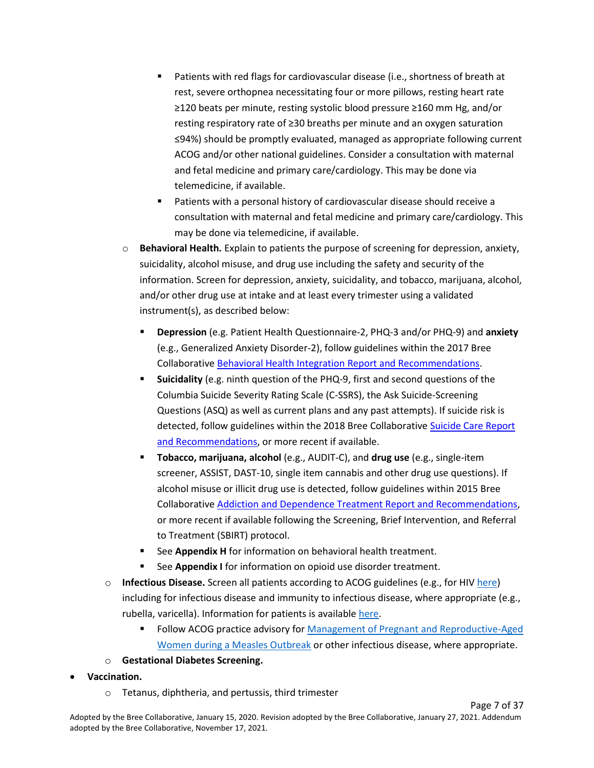- Patients with red flags for cardiovascular disease (i.e., shortness of breath at rest, severe orthopnea necessitating four or more pillows, resting heart rate ≥120 beats per minute, resting systolic blood pressure ≥160 mm Hg, and/or resting respiratory rate of ≥30 breaths per minute and an oxygen saturation ≤94%) should be promptly evaluated, managed as appropriate following current ACOG and/or other national guidelines. Consider a consultation with maternal and fetal medicine and primary care/cardiology. This may be done via telemedicine, if available.
- Patients with a personal history of cardiovascular disease should receive a consultation with maternal and fetal medicine and primary care/cardiology. This may be done via telemedicine, if available.
- o **Behavioral Health.** Explain to patients the purpose of screening for depression, anxiety, suicidality, alcohol misuse, and drug use including the safety and security of the information. Screen for depression, anxiety, suicidality, and tobacco, marijuana, alcohol, and/or other drug use at intake and at least every trimester using a validated instrument(s), as described below:
	- **Depression** (e.g. Patient Health Questionnaire-2, PHQ-3 and/or PHQ-9) and **anxiety** (e.g., Generalized Anxiety Disorder-2), follow guidelines within the 2017 Bree Collaborative [Behavioral Health Integration Report and Recommendations.](http://www.breecollaborative.org/wp-content/uploads/Behavioral-Health-Integration-Final-Recommendations-2017-03.pdf)
	- **Suicidality** (e.g. ninth question of the PHQ-9, first and second questions of the Columbia Suicide Severity Rating Scale (C-SSRS), the Ask Suicide-Screening Questions (ASQ) as well as current plans and any past attempts). If suicide risk is detected, follow guidelines within the 2018 Bree Collaborative Suicide Care Report [and Recommendations,](http://www.breecollaborative.org/wp-content/uploads/Suicide-Care-Report-and-Recommendations-Final.pdf) or more recent if available.
	- **Tobacco, marijuana, alcohol** (e.g., AUDIT-C), and **drug use** (e.g., single-item screener, ASSIST, DAST-10, single item cannabis and other drug use questions). If alcohol misuse or illicit drug use is detected, follow guidelines within 2015 Bree Collaborative [Addiction and Dependence Treatment Report and Recommendations,](http://www.breecollaborative.org/wp-content/uploads/ADT-Final-Report.pdf) or more recent if available following the Screening, Brief Intervention, and Referral to Treatment (SBIRT) protocol.
	- See **Appendix H** for information on behavioral health treatment.
	- See **Appendix I** for information on opioid use disorder treatment.
- o **Infectious Disease.** Screen all patients according to ACOG guidelines (e.g., for HIV [here\)](https://www.acog.org/Clinical-Guidance-and-Publications/Committee-Opinions?Keyword=infectious%20disease%20screening) including for infectious disease and immunity to infectious disease, where appropriate (e.g., rubella, varicella). Information for patients is available [here.](https://www.acog.org/Patients/FAQs/Routine-Tests-During-Pregnancy?IsMobileSet=false)
	- Follow ACOG practice advisory for Management of Pregnant and Reproductive-Aged [Women during a Measles Outbreak](https://www.acog.org/Clinical-Guidance-and-Publications/Practice-Advisories/Management-of-Pregnant-and-Reproductive-Age-Women-during-a-Measles-Outbreak) or other infectious disease, where appropriate.
- o **Gestational Diabetes Screening.**
- **Vaccination.**
	- o Tetanus, diphtheria, and pertussis, third trimester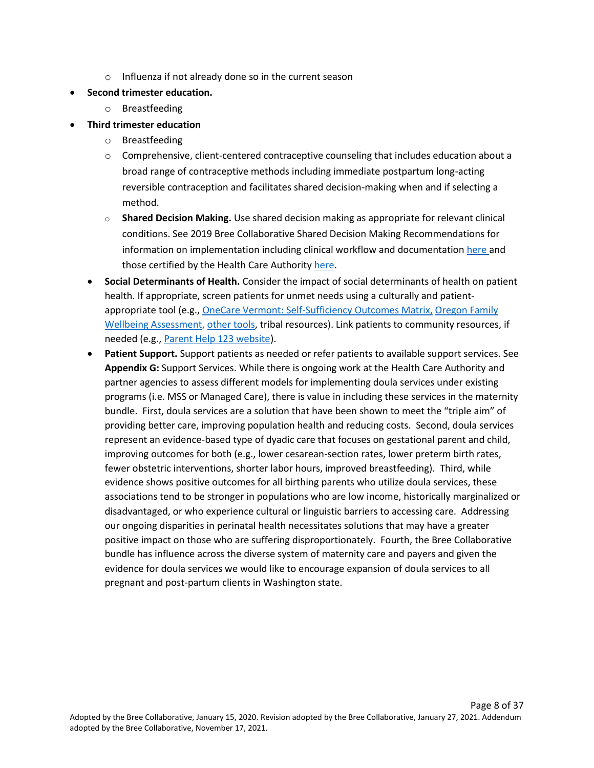- o Influenza if not already done so in the current season
- **Second trimester education.** 
	- o Breastfeeding
- **Third trimester education**
	- o Breastfeeding
	- $\circ$  Comprehensive, client-centered contraceptive counseling that includes education about a broad range of contraceptive methods including immediate postpartum long-acting reversible contraception and facilitates shared decision-making when and if selecting a method.
	- o **Shared Decision Making.** Use shared decision making as appropriate for relevant clinical conditions. See 2019 Bree Collaborative Shared Decision Making Recommendations for information on implementation including clinical workflow and documentation [here a](http://www.breecollaborative.org/topic-areas/current-topics/shared-decision-making/)nd those certified by the Health Care Authority [here.](https://www.hca.wa.gov/about-hca/healthier-washington/patient-decision-aids-pdas)
	- **Social Determinants of Health.** Consider the impact of social determinants of health on patient health. If appropriate, screen patients for unmet needs using a culturally and patientappropriate tool (e.g.[, OneCare Vermont: Self-Sufficiency Outcomes Matrix,](https://www.chcs.org/media/OneCare-Vermont-Self-Sufficiency-Outcome-Matrix_102517.pdf) [Oregon Family](http://www.oregonperinatalcollaborative.org/wp-content/uploads/2015/04/OFWBA-Survey-V_1.0-FINAL-6.1.17.pdf)  [Wellbeing Assessment,](http://www.oregonperinatalcollaborative.org/wp-content/uploads/2015/04/OFWBA-Survey-V_1.0-FINAL-6.1.17.pdf) [other tools,](https://www.naccho.org/uploads/downloadable-resources/SDOH-resources.pdf) tribal resources). Link patients to community resources, if needed (e.g., [Parent Help 123 website\)](https://www.parenthelp123.org/).
	- **Patient Support.** Support patients as needed or refer patients to available support services. See **Appendix G:** Support Services. While there is ongoing work at the Health Care Authority and partner agencies to assess different models for implementing doula services under existing programs (i.e. MSS or Managed Care), there is value in including these services in the maternity bundle. First, doula services are a solution that have been shown to meet the "triple aim" of providing better care, improving population health and reducing costs. Second, doula services represent an evidence-based type of dyadic care that focuses on gestational parent and child, improving outcomes for both (e.g., lower cesarean-section rates, lower preterm birth rates, fewer obstetric interventions, shorter labor hours, improved breastfeeding). Third, while evidence shows positive outcomes for all birthing parents who utilize doula services, these associations tend to be stronger in populations who are low income, historically marginalized or disadvantaged, or who experience cultural or linguistic barriers to accessing care. Addressing our ongoing disparities in perinatal health necessitates solutions that may have a greater positive impact on those who are suffering disproportionately. Fourth, the Bree Collaborative bundle has influence across the diverse system of maternity care and payers and given the evidence for doula services we would like to encourage expansion of doula services to all pregnant and post-partum clients in Washington state.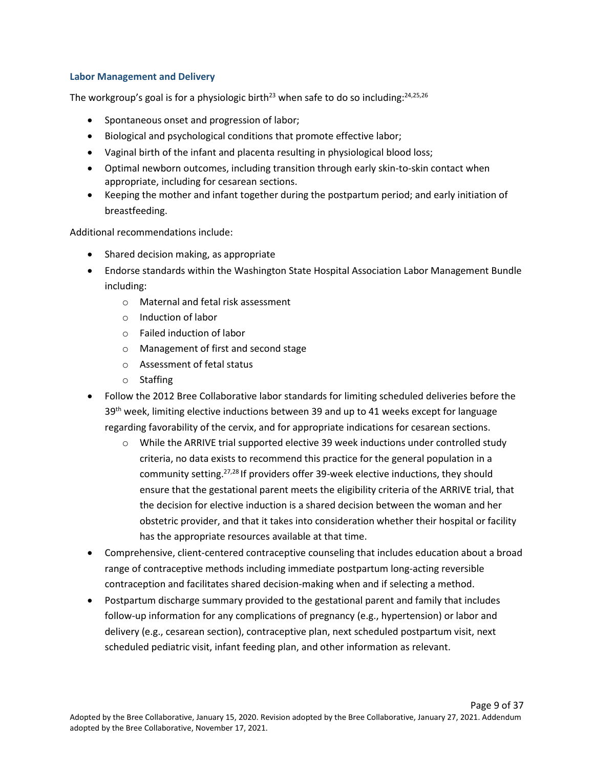### <span id="page-10-0"></span>**Labor Management and Delivery**

The workgroup's goal is for a physiologic birth<sup>23</sup> when safe to do so including:<sup>24,25,26</sup>

- Spontaneous onset and progression of labor;
- Biological and psychological conditions that promote effective labor;
- Vaginal birth of the infant and placenta resulting in physiological blood loss;
- Optimal newborn outcomes, including transition through early skin-to-skin contact when appropriate, including for cesarean sections.
- Keeping the mother and infant together during the postpartum period; and early initiation of breastfeeding.

Additional recommendations include:

- Shared decision making, as appropriate
- Endorse standards within the Washington State Hospital Association Labor Management Bundle including:
	- o Maternal and fetal risk assessment
	- o Induction of labor
	- o Failed induction of labor
	- o Management of first and second stage
	- o Assessment of fetal status
	- o Staffing
- Follow the 2012 Bree Collaborative labor standards for limiting scheduled deliveries before the  $39<sup>th</sup>$  week, limiting elective inductions between 39 and up to 41 weeks except for language regarding favorability of the cervix, and for appropriate indications for cesarean sections.
	- o While the ARRIVE trial supported elective 39 week inductions under controlled study criteria, no data exists to recommend this practice for the general population in a community setting.27,28 If providers offer 39-week elective inductions, they should ensure that the gestational parent meets the eligibility criteria of the ARRIVE trial, that the decision for elective induction is a shared decision between the woman and her obstetric provider, and that it takes into consideration whether their hospital or facility has the appropriate resources available at that time.
- Comprehensive, client-centered contraceptive counseling that includes education about a broad range of contraceptive methods including immediate postpartum long-acting reversible contraception and facilitates shared decision-making when and if selecting a method.
- Postpartum discharge summary provided to the gestational parent and family that includes follow-up information for any complications of pregnancy (e.g., hypertension) or labor and delivery (e.g., cesarean section), contraceptive plan, next scheduled postpartum visit, next scheduled pediatric visit, infant feeding plan, and other information as relevant.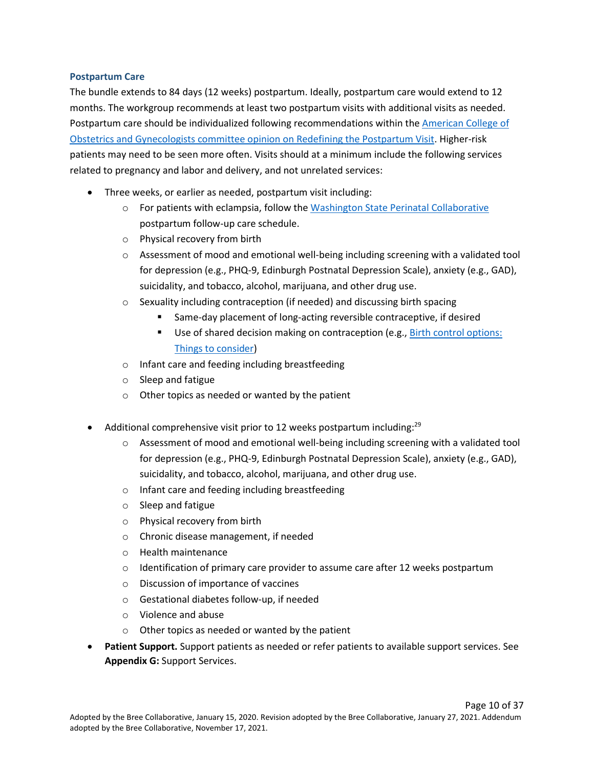### <span id="page-11-0"></span>**Postpartum Care**

The bundle extends to 84 days (12 weeks) postpartum. Ideally, postpartum care would extend to 12 months. The workgroup recommends at least two postpartum visits with additional visits as needed. Postpartum care should be individualized following recommendations within the [American College of](https://www.acog.org/Clinical-Guidance-and-Publications/Committee-Opinions/Committee-on-Obstetric-Practice/Optimizing-Postpartum-Care)  [Obstetrics and Gynecologists committee opinion on Redefining the Postpartum Visit.](https://www.acog.org/Clinical-Guidance-and-Publications/Committee-Opinions/Committee-on-Obstetric-Practice/Optimizing-Postpartum-Care) Higher-risk patients may need to be seen more often. Visits should at a minimum include the following services related to pregnancy and labor and delivery, and not unrelated services:

- Three weeks, or earlier as needed, postpartum visit including:
	- o For patients with eclampsia, follow the [Washington State Perinatal Collaborative](https://www.doh.wa.gov/YouandYourFamily/WomensHealth/Perinatal) postpartum follow-up care schedule.
	- o Physical recovery from birth
	- $\circ$  Assessment of mood and emotional well-being including screening with a validated tool for depression (e.g., PHQ-9, Edinburgh Postnatal Depression Scale), anxiety (e.g., GAD), suicidality, and tobacco, alcohol, marijuana, and other drug use.
	- o Sexuality including contraception (if needed) and discussing birth spacing
		- Same-day placement of long-acting reversible contraceptive, if desired
		- Use of shared decision making on contraception (e.g., Birth control options: [Things to consider\)](https://www.mayoclinic.org/healthy-lifestyle/birth-control/in-depth/birth-control-options/art-20045571)
	- o Infant care and feeding including breastfeeding
	- o Sleep and fatigue
	- o Other topics as needed or wanted by the patient
- Additional comprehensive visit prior to 12 weeks postpartum including: $^{29}$ 
	- o Assessment of mood and emotional well-being including screening with a validated tool for depression (e.g., PHQ-9, Edinburgh Postnatal Depression Scale), anxiety (e.g., GAD), suicidality, and tobacco, alcohol, marijuana, and other drug use.
	- o Infant care and feeding including breastfeeding
	- o Sleep and fatigue
	- o Physical recovery from birth
	- o Chronic disease management, if needed
	- o Health maintenance
	- $\circ$  Identification of primary care provider to assume care after 12 weeks postpartum
	- o Discussion of importance of vaccines
	- o Gestational diabetes follow-up, if needed
	- o Violence and abuse
	- o Other topics as needed or wanted by the patient
- **Patient Support.** Support patients as needed or refer patients to available support services. See **Appendix G:** Support Services.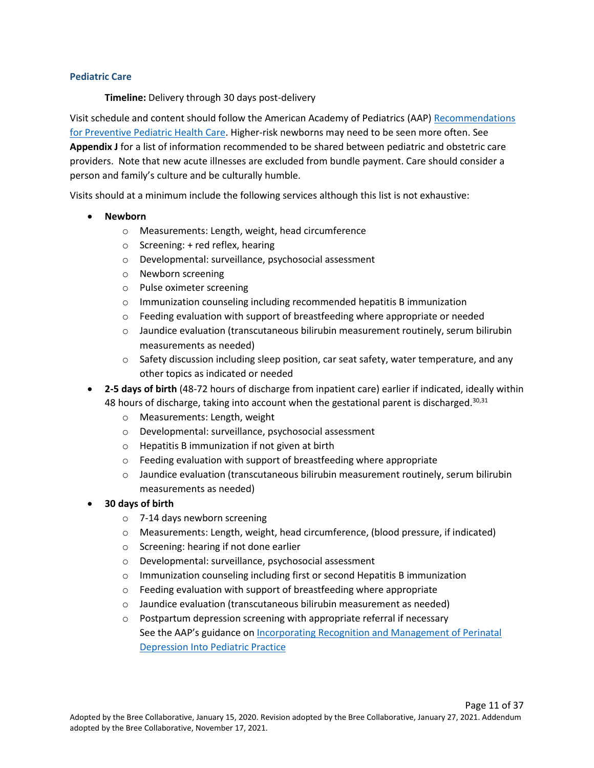#### <span id="page-12-0"></span>**Pediatric Care**

**Timeline:** Delivery through 30 days post-delivery

Visit schedule and content should follow the American Academy of Pediatrics (AAP) [Recommendations](https://downloads.aap.org/AAP/PDF/periodicity_schedule.pdf)  [for Preventive Pediatric Health Care.](https://downloads.aap.org/AAP/PDF/periodicity_schedule.pdf) Higher-risk newborns may need to be seen more often. See **Appendix J** for a list of information recommended to be shared between pediatric and obstetric care providers. Note that new acute illnesses are excluded from bundle payment. Care should consider a person and family's culture and be culturally humble.

Visits should at a minimum include the following services although this list is not exhaustive:

- **Newborn**
	- o Measurements: Length, weight, head circumference
	- $\circ$  Screening: + red reflex, hearing
	- o Developmental: surveillance, psychosocial assessment
	- o Newborn screening
	- o Pulse oximeter screening
	- o Immunization counseling including recommended hepatitis B immunization
	- $\circ$  Feeding evaluation with support of breastfeeding where appropriate or needed
	- $\circ$  Jaundice evaluation (transcutaneous bilirubin measurement routinely, serum bilirubin measurements as needed)
	- $\circ$  Safety discussion including sleep position, car seat safety, water temperature, and any other topics as indicated or needed
- **2-5 days of birth** (48-72 hours of discharge from inpatient care) earlier if indicated, ideally within 48 hours of discharge, taking into account when the gestational parent is discharged.<sup>30,31</sup>
	- o Measurements: Length, weight
	- o Developmental: surveillance, psychosocial assessment
	- o Hepatitis B immunization if not given at birth
	- o Feeding evaluation with support of breastfeeding where appropriate
	- $\circ$  Jaundice evaluation (transcutaneous bilirubin measurement routinely, serum bilirubin measurements as needed)
- **30 days of birth**
	- o 7-14 days newborn screening
	- o Measurements: Length, weight, head circumference, (blood pressure, if indicated)
	- o Screening: hearing if not done earlier
	- o Developmental: surveillance, psychosocial assessment
	- o Immunization counseling including first or second Hepatitis B immunization
	- o Feeding evaluation with support of breastfeeding where appropriate
	- $\circ$  Jaundice evaluation (transcutaneous bilirubin measurement as needed)
	- o Postpartum depression screening with appropriate referral if necessary See the AAP's guidance on Incorporating Recognition and Management of Perinatal [Depression Into Pediatric Practice](https://pediatrics.aappublications.org/content/143/1/e20183260#ref-15)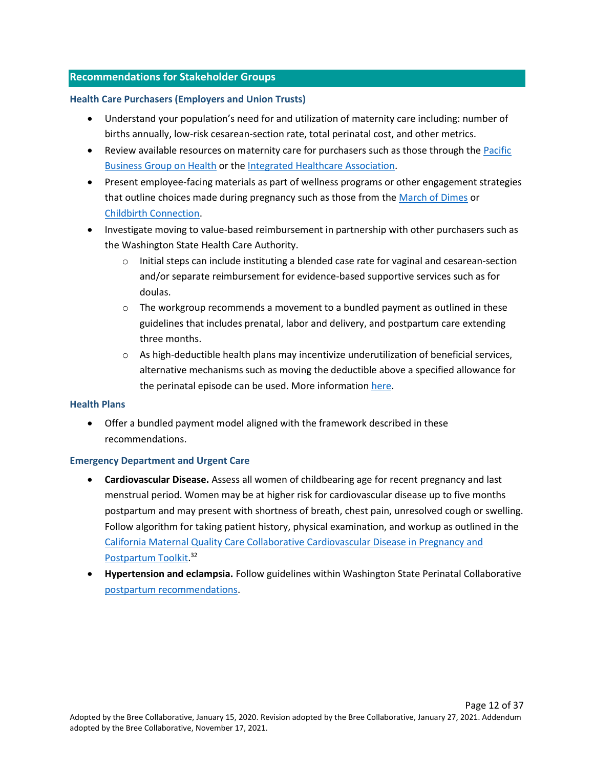# <span id="page-13-0"></span>**Recommendations for Stakeholder Groups**

#### <span id="page-13-1"></span>**Health Care Purchasers (Employers and Union Trusts)**

- Understand your population's need for and utilization of maternity care including: number of births annually, low-risk cesarean-section rate, total perinatal cost, and other metrics.
- Review available resources on maternity care for purchasers such as those through the Pacific [Business Group on Health](http://www.pbgh.org/maternity) or the [Integrated Healthcare Association.](https://www.iha.org/)
- Present employee-facing materials as part of wellness programs or other engagement strategies that outline choices made during pregnancy such as those from the [March of Dimes](https://www.marchofdimes.org/) or [Childbirth Connection.](http://www.childbirthconnection.org/)
- Investigate moving to value-based reimbursement in partnership with other purchasers such as the Washington State Health Care Authority.
	- $\circ$  Initial steps can include instituting a blended case rate for vaginal and cesarean-section and/or separate reimbursement for evidence-based supportive services such as for doulas.
	- $\circ$  The workgroup recommends a movement to a bundled payment as outlined in these guidelines that includes prenatal, labor and delivery, and postpartum care extending three months.
	- $\circ$  As high-deductible health plans may incentivize underutilization of beneficial services, alternative mechanisms such as moving the deductible above a specified allowance for the perinatal episode can be used. More information [here.](https://altarum.org/sites/default/files/uploaded-related-files/ALTARUM_MESA_BLUEPRINT_BROCHURE_FINAL4_0.pdf)

# <span id="page-13-2"></span>**Health Plans**

• Offer a bundled payment model aligned with the framework described in these recommendations.

# <span id="page-13-3"></span>**Emergency Department and Urgent Care**

- **Cardiovascular Disease.** Assess all women of childbearing age for recent pregnancy and last menstrual period. Women may be at higher risk for cardiovascular disease up to five months postpartum and may present with shortness of breath, chest pain, unresolved cough or swelling. Follow algorithm for taking patient history, physical examination, and workup as outlined in the [California Maternal Quality Care Collaborative Cardiovascular Disease in Pregnancy and](https://www.cmqcc.org/resource/improving-health-care-response-cardiovascular-disease-pregnancy-and-postpartum)  [Postpartum Toolkit.](https://www.cmqcc.org/resource/improving-health-care-response-cardiovascular-disease-pregnancy-and-postpartum)<sup>32</sup>
- **Hypertension and eclampsia.** Follow guidelines within Washington State Perinatal Collaborative [postpartum recommendations.](https://www.doh.wa.gov/Portals/1/Documents/Pubs/350-028-HealthyPregnancyOutcomes.pdf)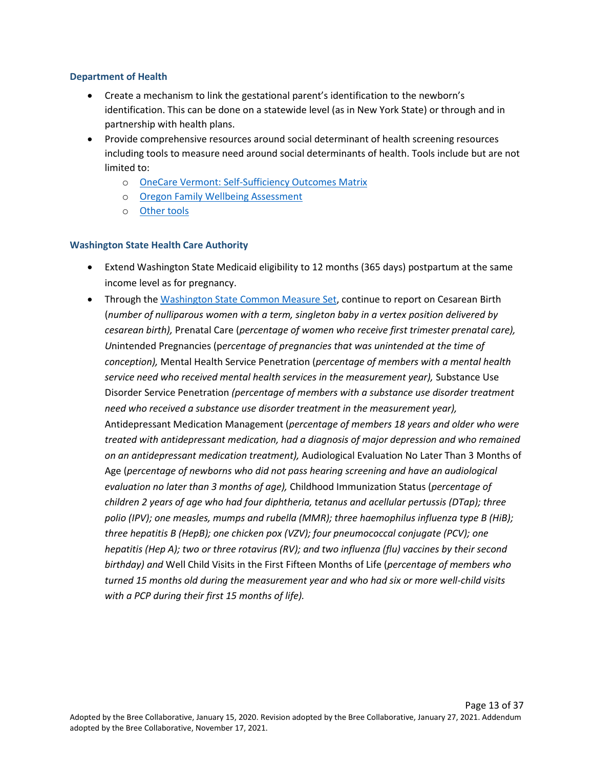### <span id="page-14-0"></span>**Department of Health**

- Create a mechanism to link the gestational parent's identification to the newborn's identification. This can be done on a statewide level (as in New York State) or through and in partnership with health plans.
- Provide comprehensive resources around social determinant of health screening resources including tools to measure need around social determinants of health. Tools include but are not limited to:
	- o [OneCare Vermont: Self-Sufficiency Outcomes Matrix](https://www.chcs.org/media/OneCare-Vermont-Self-Sufficiency-Outcome-Matrix_102517.pdf)
	- o [Oregon Family Wellbeing Assessment](http://www.oregonperinatalcollaborative.org/wp-content/uploads/2015/04/OFWBA-Survey-V_1.0-FINAL-6.1.17.pdf)
	- o [Other tools](https://www.naccho.org/uploads/downloadable-resources/SDOH-resources.pdf)

# <span id="page-14-1"></span>**Washington State Health Care Authority**

- Extend Washington State Medicaid eligibility to 12 months (365 days) postpartum at the same income level as for pregnancy.
- Through th[e Washington State Common Measure Set,](https://www.hca.wa.gov/assets/program/washington-state-common-measures-2019.pdf) continue to report on Cesarean Birth (*number of nulliparous women with a term, singleton baby in a vertex position delivered by cesarean birth),* Prenatal Care (*percentage of women who receive first trimester prenatal care), U*nintended Pregnancies (p*ercentage of pregnancies that was unintended at the time of conception),* Mental Health Service Penetration (*percentage of members with a mental health*  service need who received mental health services in the measurement year), Substance Use Disorder Service Penetration *(percentage of members with a substance use disorder treatment need who received a substance use disorder treatment in the measurement year),*  Antidepressant Medication Management (*percentage of members 18 years and older who were treated with antidepressant medication, had a diagnosis of major depression and who remained on an antidepressant medication treatment),* Audiological Evaluation No Later Than 3 Months of Age (*percentage of newborns who did not pass hearing screening and have an audiological evaluation no later than 3 months of age),* Childhood Immunization Status (*percentage of children 2 years of age who had four diphtheria, tetanus and acellular pertussis (DTap); three polio (IPV); one measles, mumps and rubella (MMR); three haemophilus influenza type B (HiB); three hepatitis B (HepB); one chicken pox (VZV); four pneumococcal conjugate (PCV); one hepatitis (Hep A); two or three rotavirus (RV); and two influenza (flu) vaccines by their second birthday) and* Well Child Visits in the First Fifteen Months of Life (*percentage of members who turned 15 months old during the measurement year and who had six or more well-child visits with a PCP during their first 15 months of life).*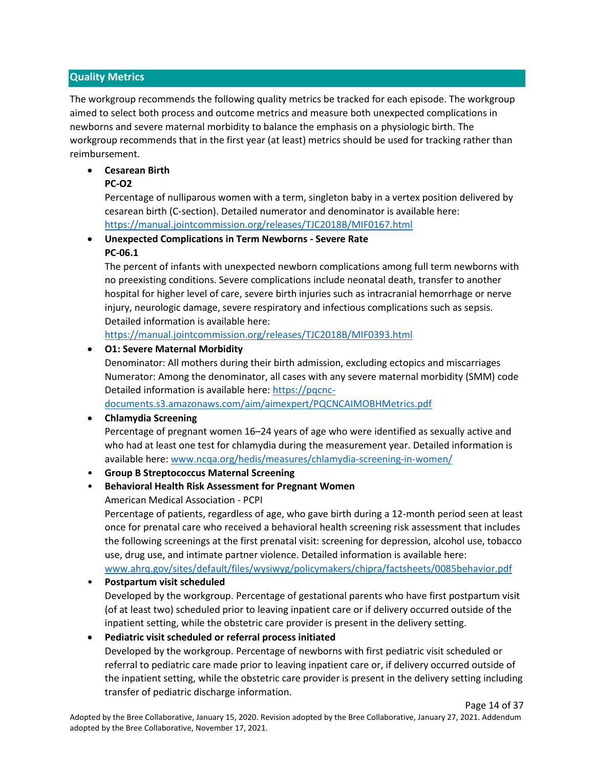# <span id="page-15-0"></span>**Quality Metrics**

The workgroup recommends the following quality metrics be tracked for each episode. The workgroup aimed to select both process and outcome metrics and measure both unexpected complications in newborns and severe maternal morbidity to balance the emphasis on a physiologic birth. The workgroup recommends that in the first year (at least) metrics should be used for tracking rather than reimbursement.

• **Cesarean Birth**

# **PC-O2**

Percentage of nulliparous women with a term, singleton baby in a vertex position delivered by cesarean birth (C-section). Detailed numerator and denominator is available here: <https://manual.jointcommission.org/releases/TJC2018B/MIF0167.html>

• **Unexpected Complications in Term Newborns - Severe Rate PC-06.1**

The percent of infants with unexpected newborn complications among full term newborns with no preexisting conditions. Severe complications include neonatal death, transfer to another hospital for higher level of care, severe birth injuries such as intracranial hemorrhage or nerve injury, neurologic damage, severe respiratory and infectious complications such as sepsis. Detailed information is available here:

<https://manual.jointcommission.org/releases/TJC2018B/MIF0393.html>

# • **O1: Severe Maternal Morbidity**

Denominator: All mothers during their birth admission, excluding ectopics and miscarriages Numerator: Among the denominator, all cases with any severe maternal morbidity (SMM) code Detailed information is available here: [https://pqcnc-](https://pqcnc-documents.s3.amazonaws.com/aim/aimexpert/PQCNCAIMOBHMetrics.pdf)

[documents.s3.amazonaws.com/aim/aimexpert/PQCNCAIMOBHMetrics.pdf](https://pqcnc-documents.s3.amazonaws.com/aim/aimexpert/PQCNCAIMOBHMetrics.pdf)

# • **Chlamydia Screening**

Percentage of pregnant women 16–24 years of age who were identified as sexually active and who had at least one test for chlamydia during the measurement year. Detailed information is available here: [www.ncqa.org/hedis/measures/chlamydia-screening-in-women/](http://www.ncqa.org/hedis/measures/chlamydia-screening-in-women/)

- **Group B Streptococcus Maternal Screening**
- **Behavioral Health Risk Assessment for Pregnant Women** American Medical Association - PCPI

Percentage of patients, regardless of age, who gave birth during a 12-month period seen at least once for prenatal care who received a behavioral health screening risk assessment that includes the following screenings at the first prenatal visit: screening for depression, alcohol use, tobacco use, drug use, and intimate partner violence. Detailed information is available here: [www.ahrq.gov/sites/default/files/wysiwyg/policymakers/chipra/factsheets/0085behavior.pdf](http://www.ahrq.gov/sites/default/files/wysiwyg/policymakers/chipra/factsheets/0085behavior.pdf)

# • **Postpartum visit scheduled**

Developed by the workgroup. Percentage of gestational parents who have first postpartum visit (of at least two) scheduled prior to leaving inpatient care or if delivery occurred outside of the inpatient setting, while the obstetric care provider is present in the delivery setting.

# • **Pediatric visit scheduled or referral process initiated**

Developed by the workgroup. Percentage of newborns with first pediatric visit scheduled or referral to pediatric care made prior to leaving inpatient care or, if delivery occurred outside of the inpatient setting, while the obstetric care provider is present in the delivery setting including transfer of pediatric discharge information.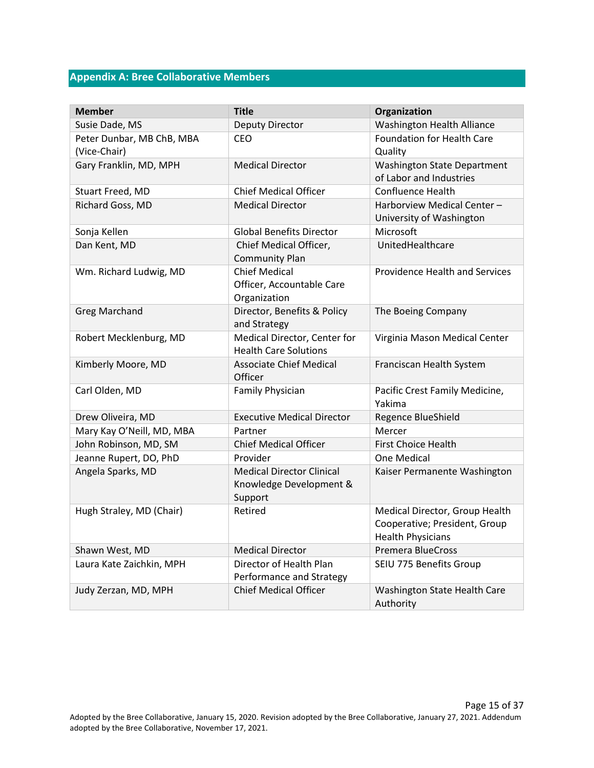# <span id="page-16-0"></span>**Appendix A: Bree Collaborative Members**

| <b>Member</b>             | <b>Title</b>                      | Organization                              |  |  |
|---------------------------|-----------------------------------|-------------------------------------------|--|--|
| Susie Dade, MS            | Deputy Director                   | Washington Health Alliance                |  |  |
| Peter Dunbar, MB ChB, MBA | <b>CEO</b>                        | <b>Foundation for Health Care</b>         |  |  |
| (Vice-Chair)              |                                   | Quality                                   |  |  |
| Gary Franklin, MD, MPH    | <b>Medical Director</b>           | <b>Washington State Department</b>        |  |  |
|                           |                                   | of Labor and Industries                   |  |  |
| Stuart Freed, MD          | <b>Chief Medical Officer</b>      | Confluence Health                         |  |  |
| Richard Goss, MD          | <b>Medical Director</b>           | Harborview Medical Center-                |  |  |
|                           |                                   | University of Washington                  |  |  |
| Sonja Kellen              | <b>Global Benefits Director</b>   | Microsoft                                 |  |  |
| Dan Kent, MD              | Chief Medical Officer,            | UnitedHealthcare                          |  |  |
|                           | <b>Community Plan</b>             |                                           |  |  |
| Wm. Richard Ludwig, MD    | <b>Chief Medical</b>              | <b>Providence Health and Services</b>     |  |  |
|                           | Officer, Accountable Care         |                                           |  |  |
|                           | Organization                      |                                           |  |  |
| <b>Greg Marchand</b>      | Director, Benefits & Policy       | The Boeing Company                        |  |  |
|                           | and Strategy                      |                                           |  |  |
| Robert Mecklenburg, MD    | Medical Director, Center for      | Virginia Mason Medical Center             |  |  |
|                           | <b>Health Care Solutions</b>      |                                           |  |  |
| Kimberly Moore, MD        | <b>Associate Chief Medical</b>    | Franciscan Health System                  |  |  |
|                           | Officer                           |                                           |  |  |
| Carl Olden, MD            | <b>Family Physician</b>           | Pacific Crest Family Medicine,            |  |  |
|                           |                                   | Yakima                                    |  |  |
| Drew Oliveira, MD         | <b>Executive Medical Director</b> | Regence BlueShield                        |  |  |
| Mary Kay O'Neill, MD, MBA | Partner                           | Mercer                                    |  |  |
| John Robinson, MD, SM     | <b>Chief Medical Officer</b>      | <b>First Choice Health</b>                |  |  |
| Jeanne Rupert, DO, PhD    | Provider                          | One Medical                               |  |  |
| Angela Sparks, MD         | <b>Medical Director Clinical</b>  | Kaiser Permanente Washington              |  |  |
|                           | Knowledge Development &           |                                           |  |  |
|                           | Support                           |                                           |  |  |
| Hugh Straley, MD (Chair)  | Retired                           | Medical Director, Group Health            |  |  |
|                           |                                   | Cooperative; President, Group             |  |  |
|                           |                                   | <b>Health Physicians</b>                  |  |  |
| Shawn West, MD            | <b>Medical Director</b>           | Premera BlueCross                         |  |  |
| Laura Kate Zaichkin, MPH  | Director of Health Plan           | SEIU 775 Benefits Group                   |  |  |
|                           | Performance and Strategy          |                                           |  |  |
| Judy Zerzan, MD, MPH      | <b>Chief Medical Officer</b>      | Washington State Health Care<br>Authority |  |  |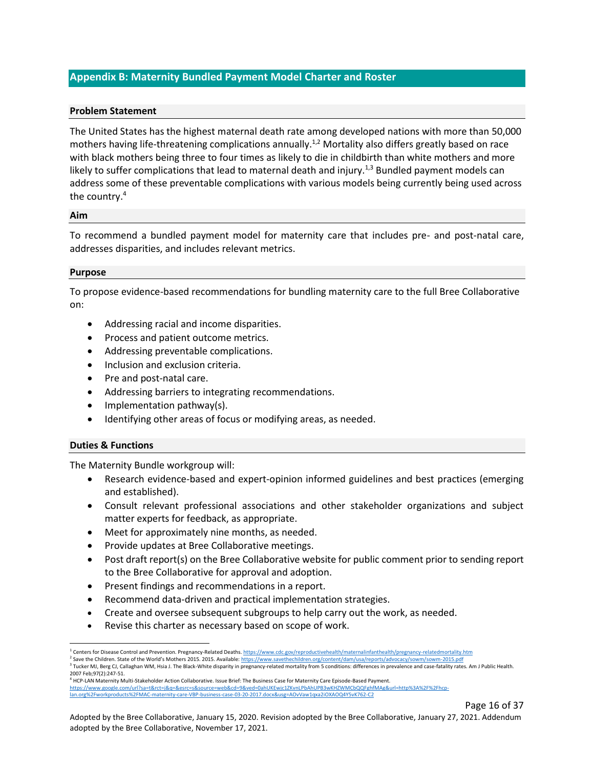# <span id="page-17-0"></span>**Appendix B: Maternity Bundled Payment Model Charter and Roster**

#### **Problem Statement**

The United States has the highest maternal death rate among developed nations with more than 50,000 mothers having life-threatening complications annually.<sup>1,2</sup> Mortality also differs greatly based on race with black mothers being three to four times as likely to die in childbirth than white mothers and more likely to suffer complications that lead to maternal death and injury.<sup>1,3</sup> Bundled payment models can address some of these preventable complications with various models being currently being used across the country.<sup>4</sup>

#### **Aim**

To recommend a bundled payment model for maternity care that includes pre- and post-natal care, addresses disparities, and includes relevant metrics.

#### **Purpose**

To propose evidence-based recommendations for bundling maternity care to the full Bree Collaborative on:

- Addressing racial and income disparities.
- Process and patient outcome metrics.
- Addressing preventable complications.
- Inclusion and exclusion criteria.
- Pre and post-natal care.
- Addressing barriers to integrating recommendations.
- Implementation pathway(s).
- Identifying other areas of focus or modifying areas, as needed.

#### **Duties & Functions**

The Maternity Bundle workgroup will:

- Research evidence-based and expert-opinion informed guidelines and best practices (emerging and established).
- Consult relevant professional associations and other stakeholder organizations and subject matter experts for feedback, as appropriate.
- Meet for approximately nine months, as needed.
- Provide updates at Bree Collaborative meetings.
- Post draft report(s) on the Bree Collaborative website for public comment prior to sending report to the Bree Collaborative for approval and adoption.
- Present findings and recommendations in a report.
- Recommend data-driven and practical implementation strategies.
- Create and oversee subsequent subgroups to help carry out the work, as needed.
- Revise this charter as necessary based on scope of work.

Page 16 of 37

<sup>&</sup>lt;sup>1</sup> Centers for Disease Control and Prevention. Pregnancy-Related Deaths[. https://www.cdc.gov/reproductivehealth/maternalinfanthealth/pregnancy-relatedmortality.htm](https://www.cdc.gov/reproductivehealth/maternalinfanthealth/pregnancy-relatedmortality.htm)

<sup>&</sup>lt;sup>2</sup> Save the Children. State of the World's Mothers 2015. 2015. Available: <https://www.savethechildren.org/content/dam/usa/reports/advocacy/sowm/sowm-2015.pdf> <sup>3</sup> Tucker MJ, Berg CJ, Callaghan WM, Hsia J. The Black-White disparity in pregnancy-related mortality from 5 conditions: differences in prevalence and case-fatality rates. Am J Public Health. 2007 Feb;97(2):247-51.

<sup>4</sup> HCP-LAN Maternity Multi-Stakeholder Action Collaborative. Issue Brief: The Business Case for Maternity Care Episode-Based Payment. [https://www.google.com/url?sa=t&rct=j&q=&esrc=s&source=web&cd=9&ved=0ahUKEwjc1ZKvnLPbAhUPB3wKHZWMCbQQFghfMAg&url=http%3A%2F%2Fhcp-](https://www.google.com/url?sa=t&rct=j&q=&esrc=s&source=web&cd=9&ved=0ahUKEwjc1ZKvnLPbAhUPB3wKHZWMCbQQFghfMAg&url=http%3A%2F%2Fhcp-lan.org%2Fworkproducts%2FMAC-maternity-care-VBP-business-case-03-20-2017.docx&usg=AOvVaw1qxa2iOXAOQ4Y5vK762-C2)

[lan.org%2Fworkproducts%2FMAC-maternity-care-VBP-business-case-03-20-2017.docx&usg=AOvVaw1qxa2iOXAOQ4Y5vK762-C2](https://www.google.com/url?sa=t&rct=j&q=&esrc=s&source=web&cd=9&ved=0ahUKEwjc1ZKvnLPbAhUPB3wKHZWMCbQQFghfMAg&url=http%3A%2F%2Fhcp-lan.org%2Fworkproducts%2FMAC-maternity-care-VBP-business-case-03-20-2017.docx&usg=AOvVaw1qxa2iOXAOQ4Y5vK762-C2)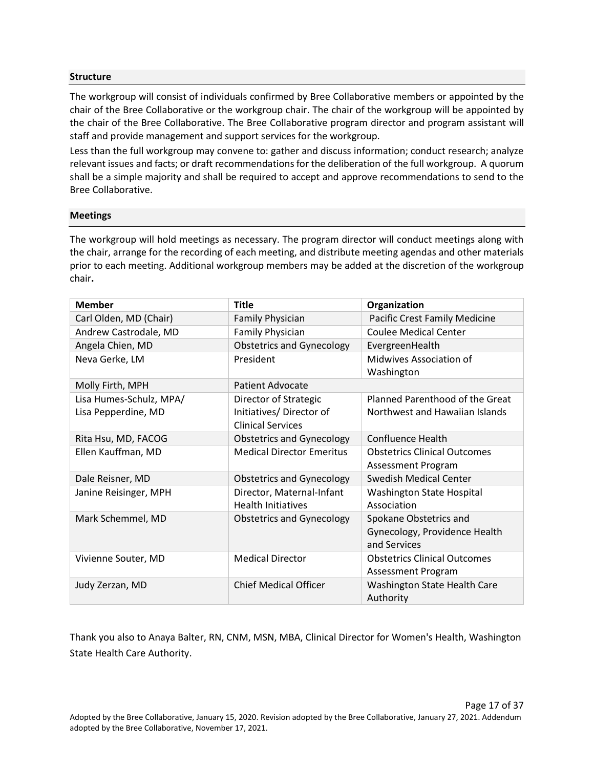#### **Structure**

The workgroup will consist of individuals confirmed by Bree Collaborative members or appointed by the chair of the Bree Collaborative or the workgroup chair. The chair of the workgroup will be appointed by the chair of the Bree Collaborative. The Bree Collaborative program director and program assistant will staff and provide management and support services for the workgroup.

Less than the full workgroup may convene to: gather and discuss information; conduct research; analyze relevant issues and facts; or draft recommendations for the deliberation of the full workgroup. A quorum shall be a simple majority and shall be required to accept and approve recommendations to send to the Bree Collaborative.

#### **Meetings**

The workgroup will hold meetings as necessary. The program director will conduct meetings along with the chair, arrange for the recording of each meeting, and distribute meeting agendas and other materials prior to each meeting. Additional workgroup members may be added at the discretion of the workgroup chair**.** 

| <b>Member</b>           | <b>Title</b>                     | Organization                        |
|-------------------------|----------------------------------|-------------------------------------|
| Carl Olden, MD (Chair)  | <b>Family Physician</b>          | Pacific Crest Family Medicine       |
| Andrew Castrodale, MD   | <b>Family Physician</b>          | <b>Coulee Medical Center</b>        |
| Angela Chien, MD        | <b>Obstetrics and Gynecology</b> | EvergreenHealth                     |
| Neva Gerke, LM          | President                        | Midwives Association of             |
|                         |                                  | Washington                          |
| Molly Firth, MPH        | Patient Advocate                 |                                     |
| Lisa Humes-Schulz, MPA/ | Director of Strategic            | Planned Parenthood of the Great     |
| Lisa Pepperdine, MD     | Initiatives/Director of          | Northwest and Hawaiian Islands      |
|                         | <b>Clinical Services</b>         |                                     |
| Rita Hsu, MD, FACOG     | <b>Obstetrics and Gynecology</b> | Confluence Health                   |
| Ellen Kauffman, MD      | <b>Medical Director Emeritus</b> | <b>Obstetrics Clinical Outcomes</b> |
|                         |                                  | Assessment Program                  |
| Dale Reisner, MD        | <b>Obstetrics and Gynecology</b> | <b>Swedish Medical Center</b>       |
| Janine Reisinger, MPH   | Director, Maternal-Infant        | <b>Washington State Hospital</b>    |
|                         | <b>Health Initiatives</b>        | Association                         |
| Mark Schemmel, MD       | <b>Obstetrics and Gynecology</b> | Spokane Obstetrics and              |
|                         |                                  | Gynecology, Providence Health       |
|                         |                                  | and Services                        |
| Vivienne Souter, MD     | <b>Medical Director</b>          | <b>Obstetrics Clinical Outcomes</b> |
|                         |                                  | Assessment Program                  |
| Judy Zerzan, MD         | <b>Chief Medical Officer</b>     | Washington State Health Care        |
|                         |                                  | Authority                           |

Thank you also to Anaya Balter, RN, CNM, MSN, MBA, Clinical Director for Women's Health, Washington State Health Care Authority.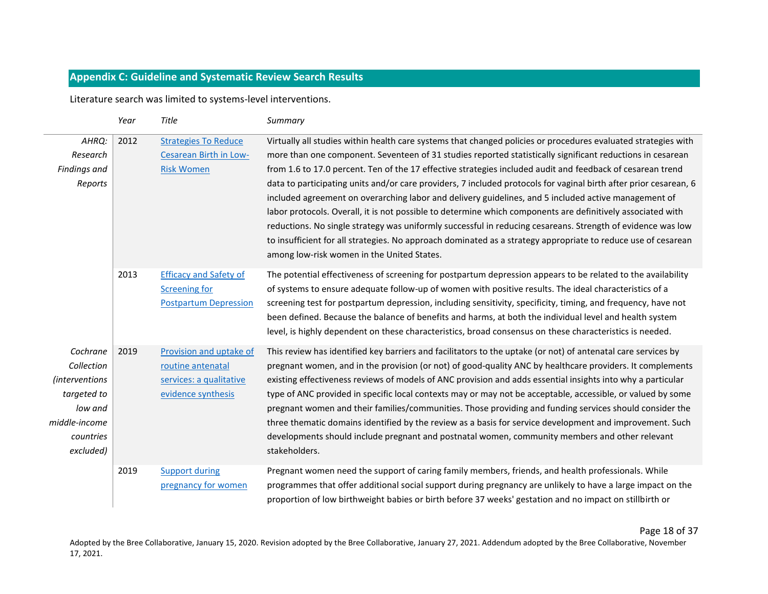# **Appendix C: Guideline and Systematic Review Search Results**

Literature search was limited to systems-level interventions.

<span id="page-19-0"></span>

|                                                                                                               | Year | <b>Title</b>                                                                                  | Summary                                                                                                                                                                                                                                                                                                                                                                                                                                                                                                                                                                                                                                                                                                                                                                                                                                                                                                                                                              |  |  |  |  |  |
|---------------------------------------------------------------------------------------------------------------|------|-----------------------------------------------------------------------------------------------|----------------------------------------------------------------------------------------------------------------------------------------------------------------------------------------------------------------------------------------------------------------------------------------------------------------------------------------------------------------------------------------------------------------------------------------------------------------------------------------------------------------------------------------------------------------------------------------------------------------------------------------------------------------------------------------------------------------------------------------------------------------------------------------------------------------------------------------------------------------------------------------------------------------------------------------------------------------------|--|--|--|--|--|
| AHRQ:<br>Research<br>Findings and<br>Reports                                                                  | 2012 | <b>Strategies To Reduce</b><br>Cesarean Birth in Low-<br><b>Risk Women</b>                    | Virtually all studies within health care systems that changed policies or procedures evaluated strategies with<br>more than one component. Seventeen of 31 studies reported statistically significant reductions in cesarean<br>from 1.6 to 17.0 percent. Ten of the 17 effective strategies included audit and feedback of cesarean trend<br>data to participating units and/or care providers, 7 included protocols for vaginal birth after prior cesarean, 6<br>included agreement on overarching labor and delivery guidelines, and 5 included active management of<br>labor protocols. Overall, it is not possible to determine which components are definitively associated with<br>reductions. No single strategy was uniformly successful in reducing cesareans. Strength of evidence was low<br>to insufficient for all strategies. No approach dominated as a strategy appropriate to reduce use of cesarean<br>among low-risk women in the United States. |  |  |  |  |  |
|                                                                                                               | 2013 | <b>Efficacy and Safety of</b><br><b>Screening for</b><br><b>Postpartum Depression</b>         | The potential effectiveness of screening for postpartum depression appears to be related to the availability<br>of systems to ensure adequate follow-up of women with positive results. The ideal characteristics of a<br>screening test for postpartum depression, including sensitivity, specificity, timing, and frequency, have not<br>been defined. Because the balance of benefits and harms, at both the individual level and health system<br>level, is highly dependent on these characteristics, broad consensus on these characteristics is needed.                                                                                                                                                                                                                                                                                                                                                                                                       |  |  |  |  |  |
| Cochrane<br>Collection<br>(interventions<br>targeted to<br>low and<br>middle-income<br>countries<br>excluded) | 2019 | Provision and uptake of<br>routine antenatal<br>services: a qualitative<br>evidence synthesis | This review has identified key barriers and facilitators to the uptake (or not) of antenatal care services by<br>pregnant women, and in the provision (or not) of good-quality ANC by healthcare providers. It complements<br>existing effectiveness reviews of models of ANC provision and adds essential insights into why a particular<br>type of ANC provided in specific local contexts may or may not be acceptable, accessible, or valued by some<br>pregnant women and their families/communities. Those providing and funding services should consider the<br>three thematic domains identified by the review as a basis for service development and improvement. Such<br>developments should include pregnant and postnatal women, community members and other relevant<br>stakeholders.                                                                                                                                                                   |  |  |  |  |  |
|                                                                                                               | 2019 | <b>Support during</b><br>pregnancy for women                                                  | Pregnant women need the support of caring family members, friends, and health professionals. While<br>programmes that offer additional social support during pregnancy are unlikely to have a large impact on the<br>proportion of low birthweight babies or birth before 37 weeks' gestation and no impact on stillbirth or                                                                                                                                                                                                                                                                                                                                                                                                                                                                                                                                                                                                                                         |  |  |  |  |  |

Page 18 of 37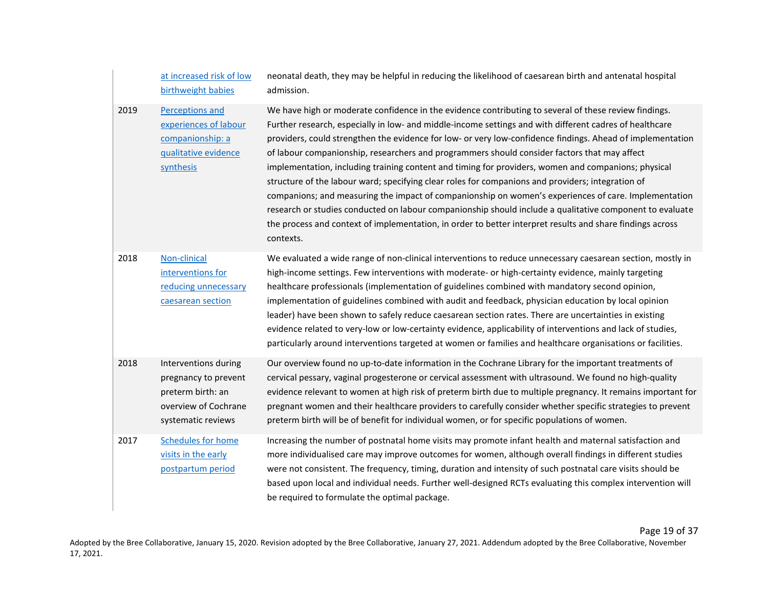|      | at increased risk of low<br>birthweight babies                                                                  | neonatal death, they may be helpful in reducing the likelihood of caesarean birth and antenatal hospital<br>admission.                                                                                                                                                                                                                                                                                                                                                                                                                                                                                                                                                                                                                                                                                                                                                                                                                                                                   |
|------|-----------------------------------------------------------------------------------------------------------------|------------------------------------------------------------------------------------------------------------------------------------------------------------------------------------------------------------------------------------------------------------------------------------------------------------------------------------------------------------------------------------------------------------------------------------------------------------------------------------------------------------------------------------------------------------------------------------------------------------------------------------------------------------------------------------------------------------------------------------------------------------------------------------------------------------------------------------------------------------------------------------------------------------------------------------------------------------------------------------------|
| 2019 | <b>Perceptions and</b><br>experiences of labour<br>companionship: a<br>qualitative evidence<br>synthesis        | We have high or moderate confidence in the evidence contributing to several of these review findings.<br>Further research, especially in low- and middle-income settings and with different cadres of healthcare<br>providers, could strengthen the evidence for low- or very low-confidence findings. Ahead of implementation<br>of labour companionship, researchers and programmers should consider factors that may affect<br>implementation, including training content and timing for providers, women and companions; physical<br>structure of the labour ward; specifying clear roles for companions and providers; integration of<br>companions; and measuring the impact of companionship on women's experiences of care. Implementation<br>research or studies conducted on labour companionship should include a qualitative component to evaluate<br>the process and context of implementation, in order to better interpret results and share findings across<br>contexts. |
| 2018 | Non-clinical<br>interventions for<br>reducing unnecessary<br>caesarean section                                  | We evaluated a wide range of non-clinical interventions to reduce unnecessary caesarean section, mostly in<br>high-income settings. Few interventions with moderate- or high-certainty evidence, mainly targeting<br>healthcare professionals (implementation of guidelines combined with mandatory second opinion,<br>implementation of guidelines combined with audit and feedback, physician education by local opinion<br>leader) have been shown to safely reduce caesarean section rates. There are uncertainties in existing<br>evidence related to very-low or low-certainty evidence, applicability of interventions and lack of studies,<br>particularly around interventions targeted at women or families and healthcare organisations or facilities.                                                                                                                                                                                                                        |
| 2018 | Interventions during<br>pregnancy to prevent<br>preterm birth: an<br>overview of Cochrane<br>systematic reviews | Our overview found no up-to-date information in the Cochrane Library for the important treatments of<br>cervical pessary, vaginal progesterone or cervical assessment with ultrasound. We found no high-quality<br>evidence relevant to women at high risk of preterm birth due to multiple pregnancy. It remains important for<br>pregnant women and their healthcare providers to carefully consider whether specific strategies to prevent<br>preterm birth will be of benefit for individual women, or for specific populations of women.                                                                                                                                                                                                                                                                                                                                                                                                                                            |
| 2017 | <b>Schedules for home</b><br>visits in the early<br>postpartum period                                           | Increasing the number of postnatal home visits may promote infant health and maternal satisfaction and<br>more individualised care may improve outcomes for women, although overall findings in different studies<br>were not consistent. The frequency, timing, duration and intensity of such postnatal care visits should be<br>based upon local and individual needs. Further well-designed RCTs evaluating this complex intervention will<br>be required to formulate the optimal package.                                                                                                                                                                                                                                                                                                                                                                                                                                                                                          |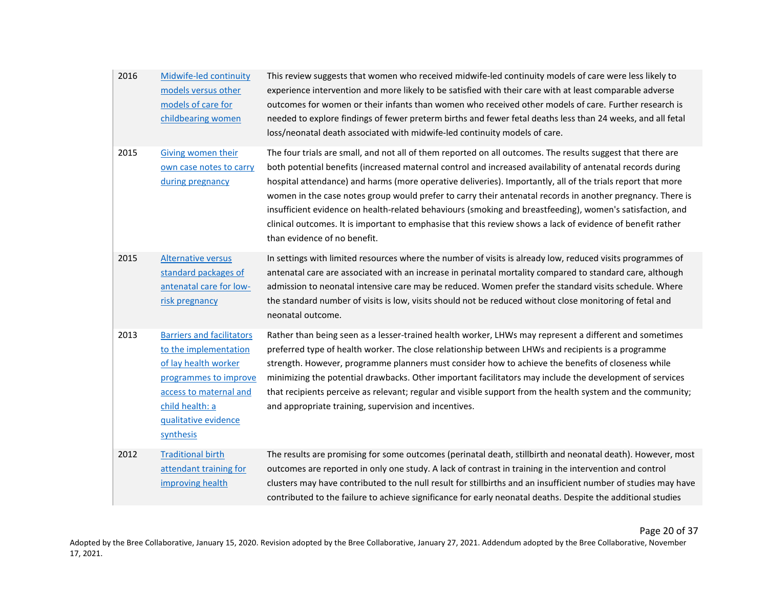2016 [Midwife‐led continuity](https://www.cochranelibrary.com/cdsr/doi/10.1002/14651858.CD004667.pub5/full?highlightAbstract=pregnanc%7Cpregnancy)  [models versus other](https://www.cochranelibrary.com/cdsr/doi/10.1002/14651858.CD004667.pub5/full?highlightAbstract=pregnanc%7Cpregnancy)  [models of care for](https://www.cochranelibrary.com/cdsr/doi/10.1002/14651858.CD004667.pub5/full?highlightAbstract=pregnanc%7Cpregnancy)  [childbearing women](https://www.cochranelibrary.com/cdsr/doi/10.1002/14651858.CD004667.pub5/full?highlightAbstract=pregnanc%7Cpregnancy) This review suggests that women who received midwife‐led continuity models of care were less likely to experience intervention and more likely to be satisfied with their care with at least comparable adverse outcomes for women or their infants than women who received other models of care. Further research is needed to explore findings of fewer preterm births and fewer fetal deaths less than 24 weeks, and all fetal loss/neonatal death associated with midwife‐led continuity models of care. 2015 [Giving women their](https://www.cochranelibrary.com/cdsr/doi/10.1002/14651858.CD002856.pub3/full?highlightAbstract=pregnanc%7Cpregnancy)  [own case notes to carry](https://www.cochranelibrary.com/cdsr/doi/10.1002/14651858.CD002856.pub3/full?highlightAbstract=pregnanc%7Cpregnancy)  [during pregnancy](https://www.cochranelibrary.com/cdsr/doi/10.1002/14651858.CD002856.pub3/full?highlightAbstract=pregnanc%7Cpregnancy) The four trials are small, and not all of them reported on all outcomes. The results suggest that there are both potential benefits (increased maternal control and increased availability of antenatal records during hospital attendance) and harms (more operative deliveries). Importantly, all of the trials report that more women in the case notes group would prefer to carry their antenatal records in another pregnancy. There is insufficient evidence on health‐related behaviours (smoking and breastfeeding), women's satisfaction, and clinical outcomes. It is important to emphasise that this review shows a lack of evidence of benefit rather than evidence of no benefit. 2015 [Alternative versus](https://www.cochranelibrary.com/cdsr/doi/10.1002/14651858.CD000934.pub3/full?highlightAbstract=pregnanc%7Cpregnancy)  [standard packages of](https://www.cochranelibrary.com/cdsr/doi/10.1002/14651858.CD000934.pub3/full?highlightAbstract=pregnanc%7Cpregnancy)  [antenatal care for low‐](https://www.cochranelibrary.com/cdsr/doi/10.1002/14651858.CD000934.pub3/full?highlightAbstract=pregnanc%7Cpregnancy) [risk pregnancy](https://www.cochranelibrary.com/cdsr/doi/10.1002/14651858.CD000934.pub3/full?highlightAbstract=pregnanc%7Cpregnancy) In settings with limited resources where the number of visits is already low, reduced visits programmes of antenatal care are associated with an increase in perinatal mortality compared to standard care, although admission to neonatal intensive care may be reduced. Women prefer the standard visits schedule. Where the standard number of visits is low, visits should not be reduced without close monitoring of fetal and neonatal outcome. 2013 [Barriers and facilitators](https://www.cochranelibrary.com/cdsr/doi/10.1002/14651858.CD010414.pub2/full?highlightAbstract=pregnanc%7Cpregnancy)  [to the implementation](https://www.cochranelibrary.com/cdsr/doi/10.1002/14651858.CD010414.pub2/full?highlightAbstract=pregnanc%7Cpregnancy)  [of lay health worker](https://www.cochranelibrary.com/cdsr/doi/10.1002/14651858.CD010414.pub2/full?highlightAbstract=pregnanc%7Cpregnancy)  [programmes to improve](https://www.cochranelibrary.com/cdsr/doi/10.1002/14651858.CD010414.pub2/full?highlightAbstract=pregnanc%7Cpregnancy)  [access to maternal and](https://www.cochranelibrary.com/cdsr/doi/10.1002/14651858.CD010414.pub2/full?highlightAbstract=pregnanc%7Cpregnancy)  [child health: a](https://www.cochranelibrary.com/cdsr/doi/10.1002/14651858.CD010414.pub2/full?highlightAbstract=pregnanc%7Cpregnancy)  [qualitative evidence](https://www.cochranelibrary.com/cdsr/doi/10.1002/14651858.CD010414.pub2/full?highlightAbstract=pregnanc%7Cpregnancy)  [synthesis](https://www.cochranelibrary.com/cdsr/doi/10.1002/14651858.CD010414.pub2/full?highlightAbstract=pregnanc%7Cpregnancy) Rather than being seen as a lesser-trained health worker, LHWs may represent a different and sometimes preferred type of health worker. The close relationship between LHWs and recipients is a programme strength. However, programme planners must consider how to achieve the benefits of closeness while minimizing the potential drawbacks. Other important facilitators may include the development of services that recipients perceive as relevant; regular and visible support from the health system and the community; and appropriate training, supervision and incentives. 2012 [Traditional birth](https://www.cochranelibrary.com/cdsr/doi/10.1002/14651858.CD005460.pub3/full?highlightAbstract=pregnanc%7Cpregnancy)  [attendant training for](https://www.cochranelibrary.com/cdsr/doi/10.1002/14651858.CD005460.pub3/full?highlightAbstract=pregnanc%7Cpregnancy)  [improving health](https://www.cochranelibrary.com/cdsr/doi/10.1002/14651858.CD005460.pub3/full?highlightAbstract=pregnanc%7Cpregnancy)  The results are promising for some outcomes (perinatal death, stillbirth and neonatal death). However, most outcomes are reported in only one study. A lack of contrast in training in the intervention and control clusters may have contributed to the null result for stillbirths and an insufficient number of studies may have contributed to the failure to achieve significance for early neonatal deaths. Despite the additional studies

Page 20 of 37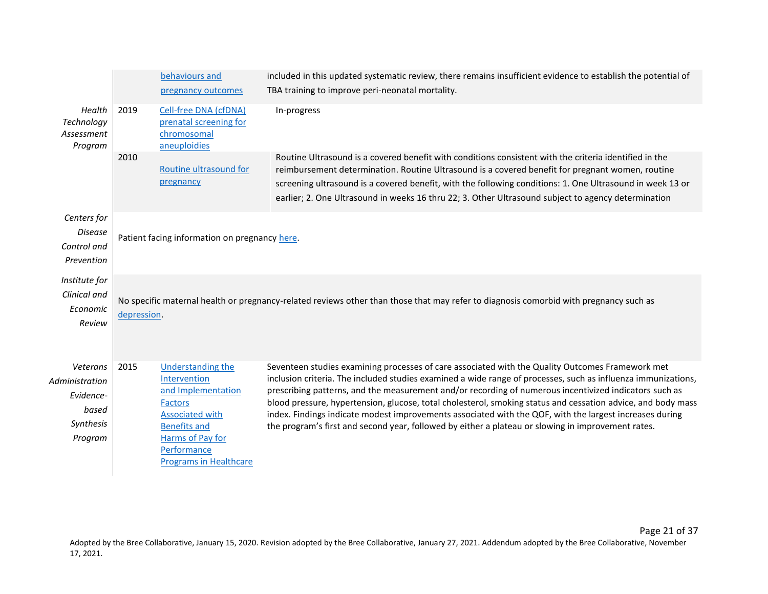|                                                                          |                                                                                                                                              | behaviours and<br>pregnancy outcomes                                                                                                                                                           | included in this updated systematic review, there remains insufficient evidence to establish the potential of<br>TBA training to improve peri-neonatal mortality.                                                                                                                                                                                                                                                                                                                                                                                                                                                                                            |  |
|--------------------------------------------------------------------------|----------------------------------------------------------------------------------------------------------------------------------------------|------------------------------------------------------------------------------------------------------------------------------------------------------------------------------------------------|--------------------------------------------------------------------------------------------------------------------------------------------------------------------------------------------------------------------------------------------------------------------------------------------------------------------------------------------------------------------------------------------------------------------------------------------------------------------------------------------------------------------------------------------------------------------------------------------------------------------------------------------------------------|--|
| Health<br>Technology<br>Assessment<br>Program                            | 2019<br><b>Cell-free DNA (cfDNA)</b><br>prenatal screening for<br>chromosomal<br>aneuploidies<br>2010<br>Routine ultrasound for<br>pregnancy |                                                                                                                                                                                                | In-progress                                                                                                                                                                                                                                                                                                                                                                                                                                                                                                                                                                                                                                                  |  |
|                                                                          |                                                                                                                                              |                                                                                                                                                                                                | Routine Ultrasound is a covered benefit with conditions consistent with the criteria identified in the<br>reimbursement determination. Routine Ultrasound is a covered benefit for pregnant women, routine<br>screening ultrasound is a covered benefit, with the following conditions: 1. One Ultrasound in week 13 or<br>earlier; 2. One Ultrasound in weeks 16 thru 22; 3. Other Ultrasound subject to agency determination                                                                                                                                                                                                                               |  |
| Centers for<br><b>Disease</b><br>Control and<br>Prevention               |                                                                                                                                              | Patient facing information on pregnancy here.                                                                                                                                                  |                                                                                                                                                                                                                                                                                                                                                                                                                                                                                                                                                                                                                                                              |  |
| Institute for<br>Clinical and<br>Economic<br>Review                      | depression.                                                                                                                                  |                                                                                                                                                                                                | No specific maternal health or pregnancy-related reviews other than those that may refer to diagnosis comorbid with pregnancy such as                                                                                                                                                                                                                                                                                                                                                                                                                                                                                                                        |  |
| Veterans<br>Administration<br>Evidence-<br>based<br>Synthesis<br>Program | 2015                                                                                                                                         | Understanding the<br>Intervention<br>and Implementation<br><b>Factors</b><br><b>Associated with</b><br><b>Benefits and</b><br>Harms of Pay for<br>Performance<br><b>Programs in Healthcare</b> | Seventeen studies examining processes of care associated with the Quality Outcomes Framework met<br>inclusion criteria. The included studies examined a wide range of processes, such as influenza immunizations,<br>prescribing patterns, and the measurement and/or recording of numerous incentivized indicators such as<br>blood pressure, hypertension, glucose, total cholesterol, smoking status and cessation advice, and body mass<br>index. Findings indicate modest improvements associated with the QOF, with the largest increases during<br>the program's first and second year, followed by either a plateau or slowing in improvement rates. |  |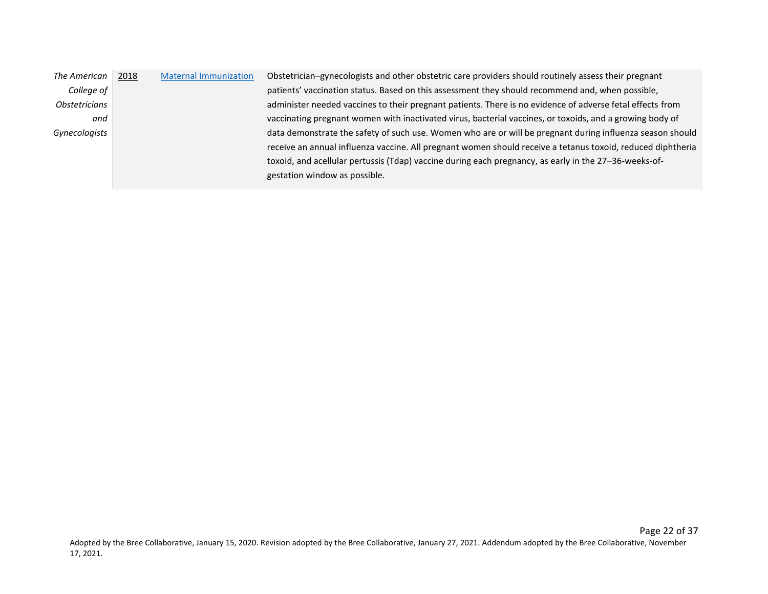| The American         | 2018 | <b>Maternal Immunization</b> | Obstetrician-gynecologists and other obstetric care providers should routinely assess their pregnant        |
|----------------------|------|------------------------------|-------------------------------------------------------------------------------------------------------------|
| College of           |      |                              | patients' vaccination status. Based on this assessment they should recommend and, when possible,            |
| <b>Obstetricians</b> |      |                              | administer needed vaccines to their pregnant patients. There is no evidence of adverse fetal effects from   |
| and                  |      |                              | vaccinating pregnant women with inactivated virus, bacterial vaccines, or toxoids, and a growing body of    |
| Gynecologists        |      |                              | data demonstrate the safety of such use. Women who are or will be pregnant during influenza season should   |
|                      |      |                              | receive an annual influenza vaccine. All pregnant women should receive a tetanus toxoid, reduced diphtheria |
|                      |      |                              | toxoid, and acellular pertussis (Tdap) vaccine during each pregnancy, as early in the 27-36-weeks-of-       |
|                      |      |                              | gestation window as possible.                                                                               |
|                      |      |                              |                                                                                                             |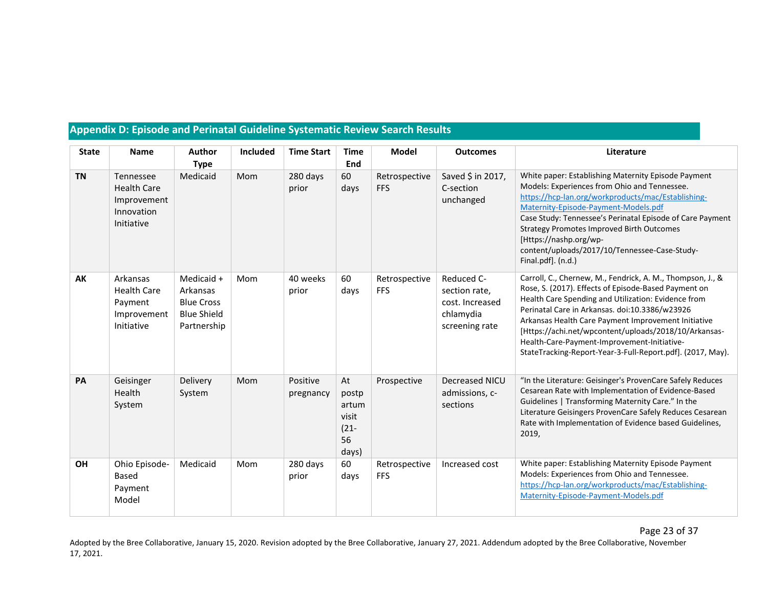# **Appendix D: Episode and Perinatal Guideline Systematic Review Search Results**

<span id="page-24-0"></span>

| <b>State</b> | <b>Name</b>                                                                | Author<br><b>Type</b>                                                            | <b>Included</b> | <b>Time Start</b>     | <b>Time</b><br>End                                      | <b>Model</b>                | <b>Outcomes</b>                                                               | Literature                                                                                                                                                                                                                                                                                                                                                                                                                                               |
|--------------|----------------------------------------------------------------------------|----------------------------------------------------------------------------------|-----------------|-----------------------|---------------------------------------------------------|-----------------------------|-------------------------------------------------------------------------------|----------------------------------------------------------------------------------------------------------------------------------------------------------------------------------------------------------------------------------------------------------------------------------------------------------------------------------------------------------------------------------------------------------------------------------------------------------|
| <b>TN</b>    | Tennessee<br><b>Health Care</b><br>Improvement<br>Innovation<br>Initiative | Medicaid                                                                         | Mom             | 280 days<br>prior     | 60<br>days                                              | Retrospective<br><b>FFS</b> | Saved \$ in 2017,<br>C-section<br>unchanged                                   | White paper: Establishing Maternity Episode Payment<br>Models: Experiences from Ohio and Tennessee.<br>https://hcp-lan.org/workproducts/mac/Establishing-<br>Maternity-Episode-Payment-Models.pdf<br>Case Study: Tennessee's Perinatal Episode of Care Payment<br><b>Strategy Promotes Improved Birth Outcomes</b><br>[Https://nashp.org/wp-<br>content/uploads/2017/10/Tennessee-Case-Study-<br>Final.pdf]. (n.d.)                                      |
| AK           | Arkansas<br><b>Health Care</b><br>Payment<br>Improvement<br>Initiative     | Medicaid +<br>Arkansas<br><b>Blue Cross</b><br><b>Blue Shield</b><br>Partnership | Mom             | 40 weeks<br>prior     | 60<br>days                                              | Retrospective<br><b>FFS</b> | Reduced C-<br>section rate,<br>cost. Increased<br>chlamydia<br>screening rate | Carroll, C., Chernew, M., Fendrick, A. M., Thompson, J., &<br>Rose, S. (2017). Effects of Episode-Based Payment on<br>Health Care Spending and Utilization: Evidence from<br>Perinatal Care in Arkansas. doi:10.3386/w23926<br>Arkansas Health Care Payment Improvement Initiative<br>[Https://achi.net/wpcontent/uploads/2018/10/Arkansas-<br>Health-Care-Payment-Improvement-Initiative-<br>StateTracking-Report-Year-3-Full-Report.pdf]. (2017, May). |
| PA           | Geisinger<br>Health<br>System                                              | Delivery<br>System                                                               | Mom             | Positive<br>pregnancy | At<br>postp<br>artum<br>visit<br>$(21 -$<br>56<br>days) | Prospective                 | <b>Decreased NICU</b><br>admissions, c-<br>sections                           | "In the Literature: Geisinger's ProvenCare Safely Reduces<br>Cesarean Rate with Implementation of Evidence-Based<br>Guidelines   Transforming Maternity Care." In the<br>Literature Geisingers ProvenCare Safely Reduces Cesarean<br>Rate with Implementation of Evidence based Guidelines,<br>2019,                                                                                                                                                     |
| OH           | Ohio Episode-<br><b>Based</b><br>Payment<br>Model                          | Medicaid                                                                         | Mom             | 280 days<br>prior     | 60<br>days                                              | Retrospective<br><b>FFS</b> | Increased cost                                                                | White paper: Establishing Maternity Episode Payment<br>Models: Experiences from Ohio and Tennessee.<br>https://hcp-lan.org/workproducts/mac/Establishing-<br>Maternity-Episode-Payment-Models.pdf                                                                                                                                                                                                                                                        |

Page 23 of 37 Adopted by the Bree Collaborative, January 15, 2020. Revision adopted by the Bree Collaborative, January 27, 2021. Addendum adopted by the Bree Collaborative, November 17, 2021.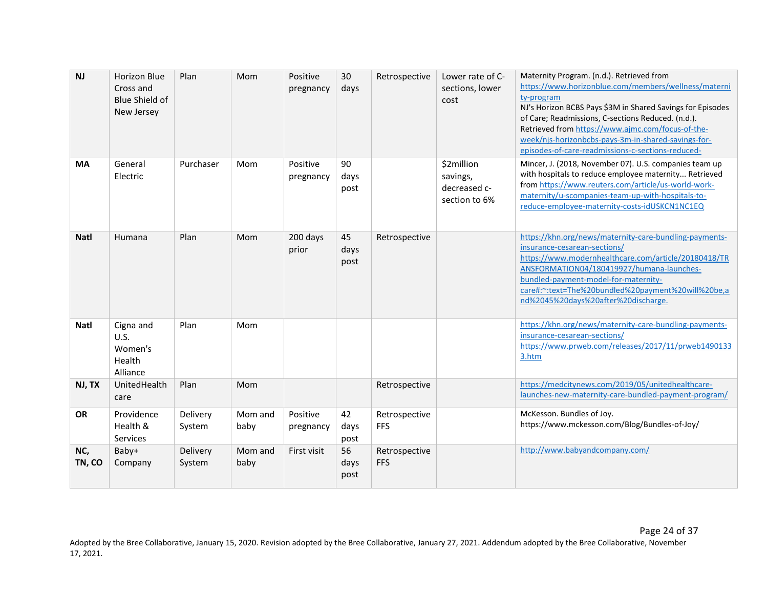| NJ            | <b>Horizon Blue</b><br>Cross and<br><b>Blue Shield of</b><br>New Jersey | Plan               | Mom             | Positive<br>pregnancy | 30<br>days         | Retrospective               | Lower rate of C-<br>sections, lower<br>cost             | Maternity Program. (n.d.). Retrieved from<br>https://www.horizonblue.com/members/wellness/materni<br>ty-program<br>NJ's Horizon BCBS Pays \$3M in Shared Savings for Episodes<br>of Care; Readmissions, C-sections Reduced. (n.d.).<br>Retrieved from https://www.ajmc.com/focus-of-the-<br>week/njs-horizonbcbs-pays-3m-in-shared-savings-for-<br>episodes-of-care-readmissions-c-sections-reduced- |
|---------------|-------------------------------------------------------------------------|--------------------|-----------------|-----------------------|--------------------|-----------------------------|---------------------------------------------------------|------------------------------------------------------------------------------------------------------------------------------------------------------------------------------------------------------------------------------------------------------------------------------------------------------------------------------------------------------------------------------------------------------|
| <b>MA</b>     | General<br>Electric                                                     | Purchaser          | Mom             | Positive<br>pregnancy | 90<br>days<br>post |                             | \$2million<br>savings,<br>decreased c-<br>section to 6% | Mincer, J. (2018, November 07). U.S. companies team up<br>with hospitals to reduce employee maternity Retrieved<br>from https://www.reuters.com/article/us-world-work-<br>maternity/u-scompanies-team-up-with-hospitals-to-<br>reduce-employee-maternity-costs-idUSKCN1NC1EQ                                                                                                                         |
| <b>Natl</b>   | Humana                                                                  | Plan               | Mom             | 200 days<br>prior     | 45<br>days<br>post | Retrospective               |                                                         | https://khn.org/news/maternity-care-bundling-payments-<br>insurance-cesarean-sections/<br>https://www.modernhealthcare.com/article/20180418/TR<br>ANSFORMATION04/180419927/humana-launches-<br>bundled-payment-model-for-maternity-<br>care#:~:text=The%20bundled%20payment%20will%20be,a<br>nd%2045%20days%20after%20discharge.                                                                     |
| <b>Natl</b>   | Cigna and<br>U.S.<br>Women's<br>Health<br>Alliance                      | Plan               | Mom             |                       |                    |                             |                                                         | https://khn.org/news/maternity-care-bundling-payments-<br>insurance-cesarean-sections/<br>https://www.prweb.com/releases/2017/11/prweb1490133<br>3.htm                                                                                                                                                                                                                                               |
| NJ, TX        | UnitedHealth<br>care                                                    | Plan               | Mom             |                       |                    | Retrospective               |                                                         | https://medcitynews.com/2019/05/unitedhealthcare-<br>launches-new-maternity-care-bundled-payment-program/                                                                                                                                                                                                                                                                                            |
| <b>OR</b>     | Providence<br>Health &<br>Services                                      | Delivery<br>System | Mom and<br>baby | Positive<br>pregnancy | 42<br>days<br>post | Retrospective<br><b>FFS</b> |                                                         | McKesson. Bundles of Joy.<br>https://www.mckesson.com/Blog/Bundles-of-Joy/                                                                                                                                                                                                                                                                                                                           |
| NC,<br>TN, CO | Baby+<br>Company                                                        | Delivery<br>System | Mom and<br>baby | First visit           | 56<br>days<br>post | Retrospective<br><b>FFS</b> |                                                         | http://www.babyandcompany.com/                                                                                                                                                                                                                                                                                                                                                                       |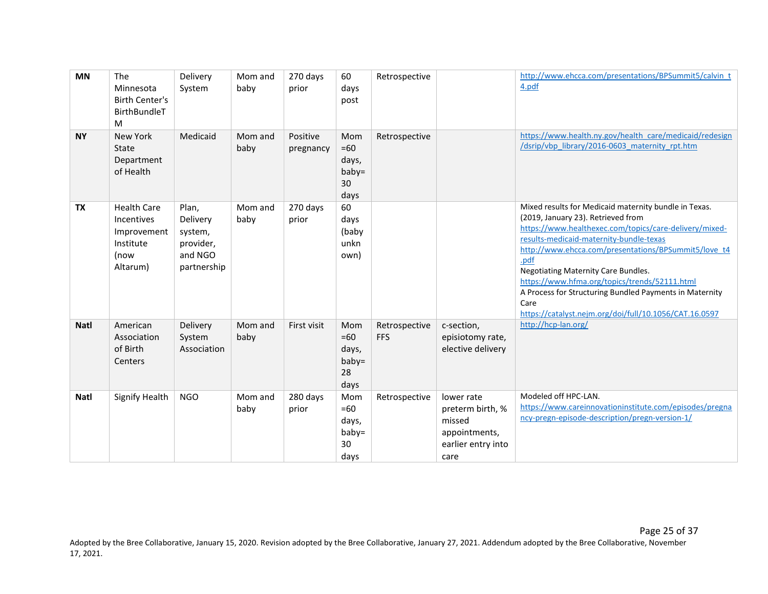| <b>MN</b>   | The<br>Minnesota<br><b>Birth Center's</b><br>BirthBundleT<br>M                   | Delivery<br>System                                                  | Mom and<br>baby | 270 days<br>prior     | 60<br>days<br>post                              | Retrospective        |                                                                                         | http://www.ehcca.com/presentations/BPSummit5/calvin t<br>4.pdf                                                                                                                                                                                                                                                                                                                                                                                                                               |
|-------------|----------------------------------------------------------------------------------|---------------------------------------------------------------------|-----------------|-----------------------|-------------------------------------------------|----------------------|-----------------------------------------------------------------------------------------|----------------------------------------------------------------------------------------------------------------------------------------------------------------------------------------------------------------------------------------------------------------------------------------------------------------------------------------------------------------------------------------------------------------------------------------------------------------------------------------------|
| <b>NY</b>   | New York<br><b>State</b><br>Department<br>of Health                              | Medicaid                                                            | Mom and<br>baby | Positive<br>pregnancy | Mom<br>$=60$<br>days,<br>baby=<br>30<br>days    | Retrospective        |                                                                                         | https://www.health.ny.gov/health care/medicaid/redesign<br>/dsrip/vbp library/2016-0603 maternity rpt.htm                                                                                                                                                                                                                                                                                                                                                                                    |
| <b>TX</b>   | <b>Health Care</b><br>Incentives<br>Improvement<br>Institute<br>(now<br>Altarum) | Plan,<br>Delivery<br>system,<br>provider,<br>and NGO<br>partnership | Mom and<br>baby | 270 days<br>prior     | 60<br>days<br>(baby<br>unkn<br>own)             |                      |                                                                                         | Mixed results for Medicaid maternity bundle in Texas.<br>(2019, January 23). Retrieved from<br>https://www.healthexec.com/topics/care-delivery/mixed-<br>results-medicaid-maternity-bundle-texas<br>http://www.ehcca.com/presentations/BPSummit5/love_t4<br>.pdf<br><b>Negotiating Maternity Care Bundles.</b><br>https://www.hfma.org/topics/trends/52111.html<br>A Process for Structuring Bundled Payments in Maternity<br>Care<br>https://catalyst.nejm.org/doi/full/10.1056/CAT.16.0597 |
| <b>Natl</b> | American<br>Association<br>of Birth<br>Centers                                   | Delivery<br>System<br>Association                                   | Mom and<br>baby | First visit           | Mom<br>$=60$<br>days,<br>baby=<br>28<br>days    | Retrospective<br>FFS | c-section,<br>episiotomy rate,<br>elective delivery                                     | http://hcp-lan.org/                                                                                                                                                                                                                                                                                                                                                                                                                                                                          |
| <b>Natl</b> | <b>Signify Health</b>                                                            | <b>NGO</b>                                                          | Mom and<br>baby | 280 days<br>prior     | Mom<br>$=60$<br>days,<br>$b$ aby=<br>30<br>days | Retrospective        | lower rate<br>preterm birth, %<br>missed<br>appointments,<br>earlier entry into<br>care | Modeled off HPC-LAN.<br>https://www.careinnovationinstitute.com/episodes/pregna<br>ncy-pregn-episode-description/pregn-version-1/                                                                                                                                                                                                                                                                                                                                                            |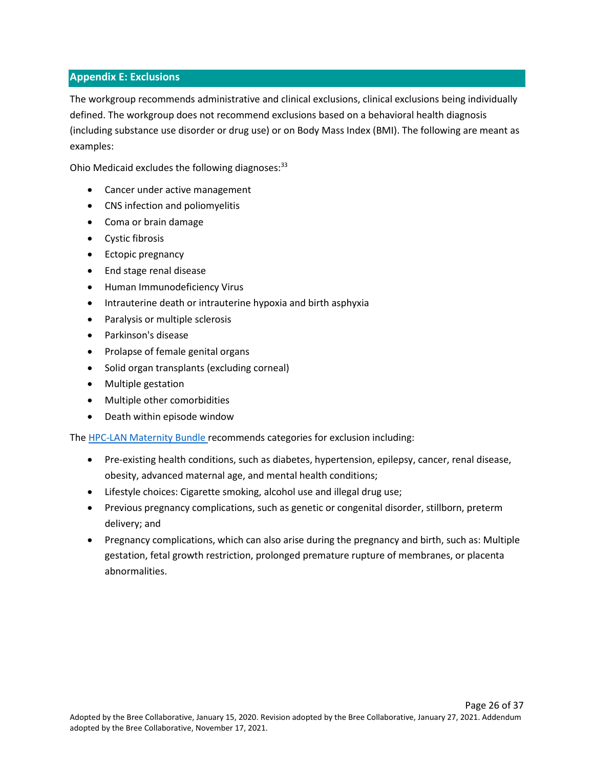# <span id="page-27-0"></span>**Appendix E: Exclusions**

The workgroup recommends administrative and clinical exclusions, clinical exclusions being individually defined. The workgroup does not recommend exclusions based on a behavioral health diagnosis (including substance use disorder or drug use) or on Body Mass Index (BMI). The following are meant as examples:

Ohio Medicaid excludes the following diagnoses: $33$ 

- Cancer under active management
- CNS infection and poliomyelitis
- Coma or brain damage
- Cystic fibrosis
- Ectopic pregnancy
- End stage renal disease
- Human Immunodeficiency Virus
- Intrauterine death or intrauterine hypoxia and birth asphyxia
- Paralysis or multiple sclerosis
- Parkinson's disease
- Prolapse of female genital organs
- Solid organ transplants (excluding corneal)
- Multiple gestation
- Multiple other comorbidities
- Death within episode window

The [HPC-LAN Maternity Bundle r](http://hcp-lan.org/workproducts/cep-whitepaper-final.pdf)ecommends categories for exclusion including:

- Pre-existing health conditions, such as diabetes, hypertension, epilepsy, cancer, renal disease, obesity, advanced maternal age, and mental health conditions;
- Lifestyle choices: Cigarette smoking, alcohol use and illegal drug use;
- Previous pregnancy complications, such as genetic or congenital disorder, stillborn, preterm delivery; and
- Pregnancy complications, which can also arise during the pregnancy and birth, such as: Multiple gestation, fetal growth restriction, prolonged premature rupture of membranes, or placenta abnormalities.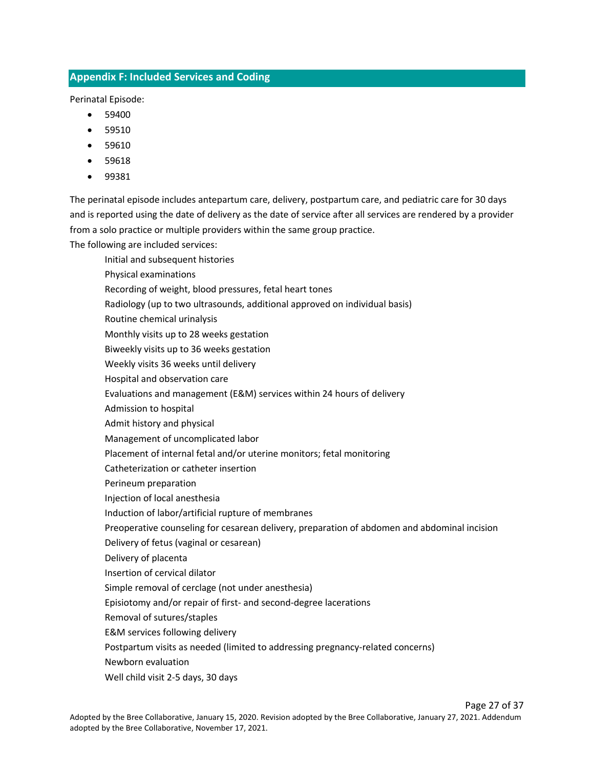# <span id="page-28-0"></span>**Appendix F: Included Services and Coding**

Perinatal Episode:

- 59400
- 59510
- 59610
- 59618
- 99381

The perinatal episode includes antepartum care, delivery, postpartum care, and pediatric care for 30 days and is reported using the date of delivery as the date of service after all services are rendered by a provider from a solo practice or multiple providers within the same group practice.

The following are included services:

Initial and subsequent histories Physical examinations Recording of weight, blood pressures, fetal heart tones Radiology (up to two ultrasounds, additional approved on individual basis) Routine chemical urinalysis Monthly visits up to 28 weeks gestation Biweekly visits up to 36 weeks gestation Weekly visits 36 weeks until delivery Hospital and observation care Evaluations and management (E&M) services within 24 hours of delivery Admission to hospital Admit history and physical Management of uncomplicated labor Placement of internal fetal and/or uterine monitors; fetal monitoring Catheterization or catheter insertion Perineum preparation Injection of local anesthesia Induction of labor/artificial rupture of membranes Preoperative counseling for cesarean delivery, preparation of abdomen and abdominal incision Delivery of fetus (vaginal or cesarean) Delivery of placenta Insertion of cervical dilator Simple removal of cerclage (not under anesthesia) Episiotomy and/or repair of first- and second-degree lacerations Removal of sutures/staples E&M services following delivery Postpartum visits as needed (limited to addressing pregnancy-related concerns) Newborn evaluation Well child visit 2-5 days, 30 days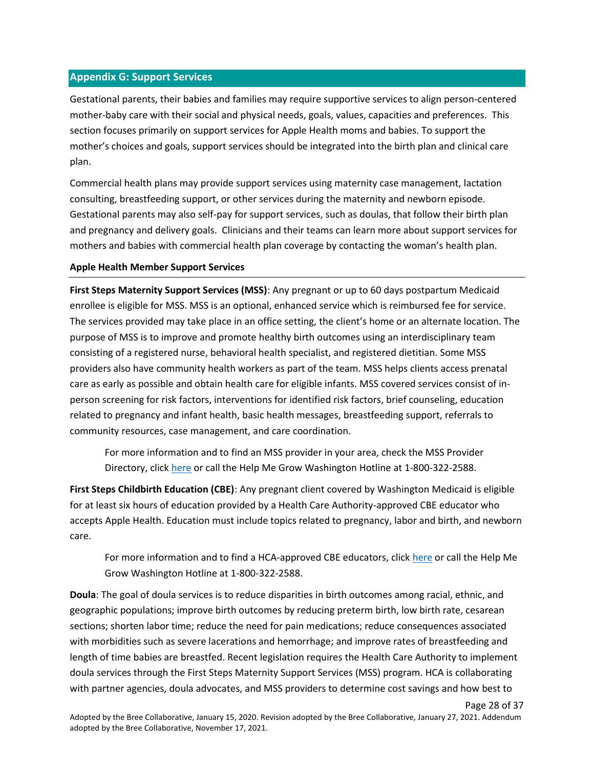# <span id="page-29-0"></span>**Appendix G: Support Services**

Gestational parents, their babies and families may require supportive services to align person-centered mother-baby care with their social and physical needs, goals, values, capacities and preferences. This section focuses primarily on support services for Apple Health moms and babies. To support the mother's choices and goals, support services should be integrated into the birth plan and clinical care plan.

Commercial health plans may provide support services using maternity case management, lactation consulting, breastfeeding support, or other services during the maternity and newborn episode. Gestational parents may also self-pay for support services, such as doulas, that follow their birth plan and pregnancy and delivery goals. Clinicians and their teams can learn more about support services for mothers and babies with commercial health plan coverage by contacting the woman's health plan.

# **Apple Health Member Support Services**

**First Steps Maternity Support Services (MSS)**: Any pregnant or up to 60 days postpartum Medicaid enrollee is eligible for MSS. MSS is an optional, enhanced service which is reimbursed fee for service. The services provided may take place in an office setting, the client's home or an alternate location. The purpose of MSS is to improve and promote healthy birth outcomes using an interdisciplinary team consisting of a registered nurse, behavioral health specialist, and registered dietitian. Some MSS providers also have community health workers as part of the team. MSS helps clients access prenatal care as early as possible and obtain health care for eligible infants. MSS covered services consist of inperson screening for risk factors, interventions for identified risk factors, brief counseling, education related to pregnancy and infant health, basic health messages, breastfeeding support, referrals to community resources, case management, and care coordination.

For more information and to find an MSS provider in your area, check the MSS Provider Directory, clic[k here](https://www.hca.wa.gov/health-care-services-and-supports/apple-health-medicaid-coverage/first-steps-provider-directory) or call the Help Me Grow Washington Hotline at 1-800-322-2588.

**First Steps Childbirth Education (CBE)**: Any pregnant client covered by Washington Medicaid is eligible for at least six hours of education provided by a Health Care Authority-approved CBE educator who accepts Apple Health. Education must include topics related to pregnancy, labor and birth, and newborn care.

For more information and to find a HCA-approved CBE educators, click [here](https://www.hca.wa.gov/health-care-services-supports/apple-health-medicaid-coverage/first-steps-maternity-and-infant-care#childbirth-education) or call the Help Me Grow Washington Hotline at 1-800-322-2588.

**Doula**: The goal of doula services is to reduce disparities in birth outcomes among racial, ethnic, and geographic populations; improve birth outcomes by reducing preterm birth, low birth rate, cesarean sections; shorten labor time; reduce the need for pain medications; reduce consequences associated with morbidities such as severe lacerations and hemorrhage; and improve rates of breastfeeding and length of time babies are breastfed. Recent legislation requires the Health Care Authority to implement doula services through the First Steps Maternity Support Services (MSS) program. HCA is collaborating with partner agencies, doula advocates, and MSS providers to determine cost savings and how best to

Page 28 of 37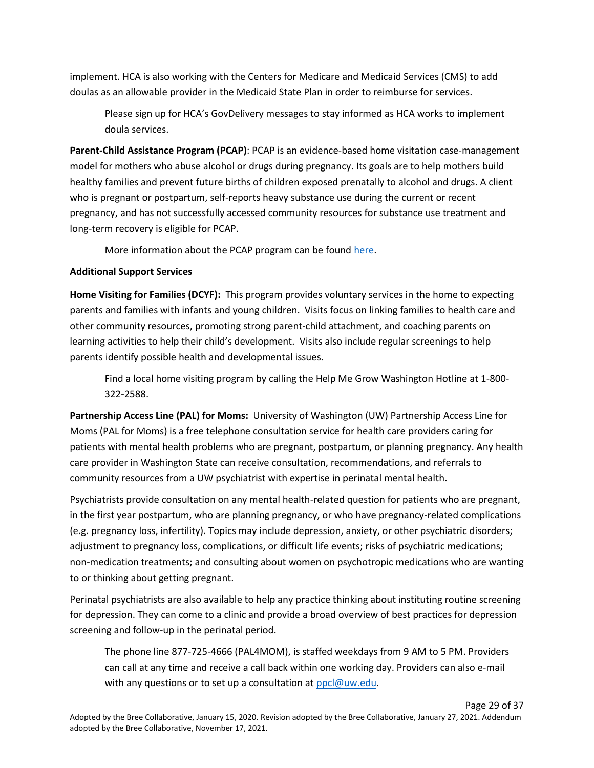implement. HCA is also working with the Centers for Medicare and Medicaid Services (CMS) to add doulas as an allowable provider in the Medicaid State Plan in order to reimburse for services.

Please sign up for HCA's GovDelivery messages to stay informed as HCA works to implement doula services.

**Parent‐Child Assistance Program (PCAP)**: PCAP is an evidence‐based home visitation case‐management model for mothers who abuse alcohol or drugs during pregnancy. Its goals are to help mothers build healthy families and prevent future births of children exposed prenatally to alcohol and drugs. A client who is pregnant or postpartum, self-reports heavy substance use during the current or recent pregnancy, and has not successfully accessed community resources for substance use treatment and long-term recovery is eligible for PCAP.

More information about the PCAP program can be found [here.](http://depts.washington.edu/pcapuw/)

# **Additional Support Services**

**Home Visiting for Families (DCYF):** This program provides voluntary services in the home to expecting parents and families with infants and young children. Visits focus on linking families to health care and other community resources, promoting strong parent-child attachment, and coaching parents on learning activities to help their child's development. Visits also include regular screenings to help parents identify possible health and developmental issues.

Find a local home visiting program by calling the Help Me Grow Washington Hotline at 1-800- 322-2588.

**Partnership Access Line (PAL) for Moms:** University of Washington (UW) Partnership Access Line for Moms (PAL for Moms) is a free telephone consultation service for health care providers caring for patients with mental health problems who are pregnant, postpartum, or planning pregnancy. Any health care provider in Washington State can receive consultation, recommendations, and referrals to community resources from a UW psychiatrist with expertise in perinatal mental health.

Psychiatrists provide consultation on any mental health-related question for patients who are pregnant, in the first year postpartum, who are planning pregnancy, or who have pregnancy-related complications (e.g. pregnancy loss, infertility). Topics may include depression, anxiety, or other psychiatric disorders; adjustment to pregnancy loss, complications, or difficult life events; risks of psychiatric medications; non-medication treatments; and consulting about women on psychotropic medications who are wanting to or thinking about getting pregnant.

Perinatal psychiatrists are also available to help any practice thinking about instituting routine screening for depression. They can come to a clinic and provide a broad overview of best practices for depression screening and follow-up in the perinatal period.

The phone line 877-725-4666 (PAL4MOM), is staffed weekdays from 9 AM to 5 PM. Providers can call at any time and receive a call back within one working day. Providers can also e-mail with any questions or to set up a consultation at  $ppcl@uw.edu$ .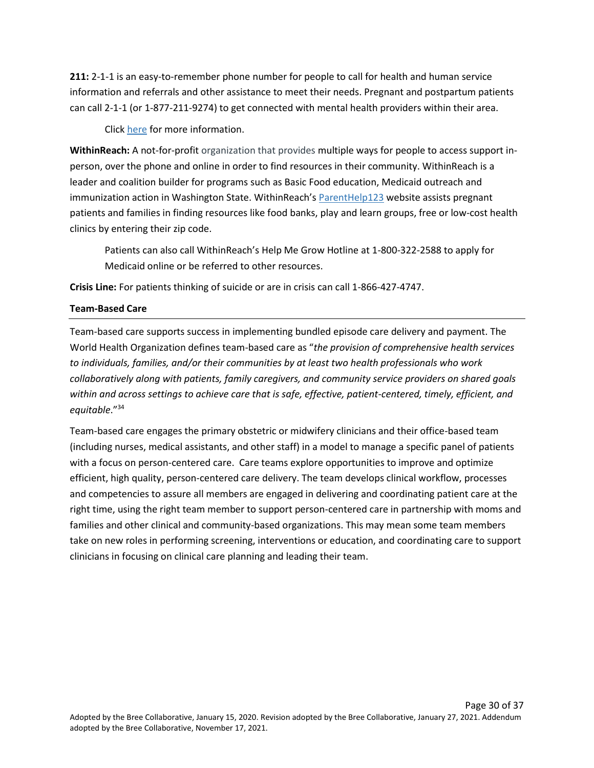**211:** 2-1-1 is an easy-to-remember phone number for people to call for health and human service information and referrals and other assistance to meet their needs. Pregnant and postpartum patients can call 2-1-1 (or [1-877-211-9274\)](tel:8772119274) to get connected with mental health providers within their area.

Click [here](https://win211.org/) for more information.

**WithinReach:** A not-for-profit organization that provides multiple ways for people to access support inperson, over the phone and online in order to find resources in their community. WithinReach is a leader and coalition builder for programs such as Basic Food education, Medicaid outreach and immunization action in Washington State. WithinReach's [ParentHelp123](https://www.parenthelp123.org/) website assists pregnant patients and families in finding resources like food banks, play and learn groups, free or low-cost health clinics by entering their zip code.

Patients can also call WithinReach's Help Me Grow Hotline at 1-800-322-2588 to apply for Medicaid online or be referred to other resources.

**Crisis Line:** For patients thinking of suicide or are in crisis can call 1-866-427-4747.

# **Team-Based Care**

Team-based care supports success in implementing bundled episode care delivery and payment. The World Health Organization defines team-based care as "*the provision of comprehensive health services to individuals, families, and/or their communities by at least two health professionals who work collaboratively along with patients, family caregivers, and community service providers on shared goals within and across settings to achieve care that is safe, effective, patient-centered, timely, efficient, and equitable*."<sup>34</sup>

Team-based care engages the primary obstetric or midwifery clinicians and their office-based team (including nurses, medical assistants, and other staff) in a model to manage a specific panel of patients with a focus on person-centered care. Care teams explore opportunities to improve and optimize efficient, high quality, person-centered care delivery. The team develops clinical workflow, processes and competencies to assure all members are engaged in delivering and coordinating patient care at the right time, using the right team member to support person-centered care in partnership with moms and families and other clinical and community-based organizations. This may mean some team members take on new roles in performing screening, interventions or education, and coordinating care to support clinicians in focusing on clinical care planning and leading their team.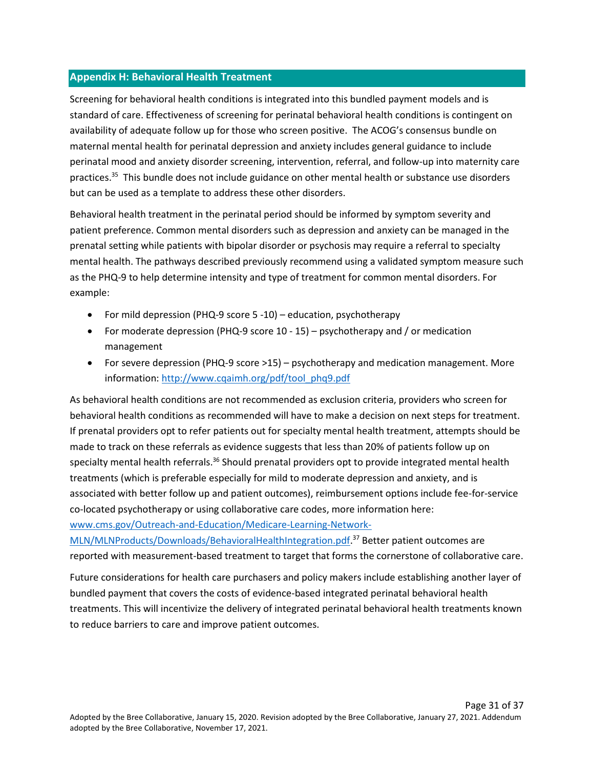# <span id="page-32-0"></span>**Appendix H: Behavioral Health Treatment**

Screening for behavioral health conditions is integrated into this bundled payment models and is standard of care. Effectiveness of screening for perinatal behavioral health conditions is contingent on availability of adequate follow up for those who screen positive. The ACOG's consensus bundle on maternal mental health for perinatal depression and anxiety includes general guidance to include perinatal mood and anxiety disorder screening, intervention, referral, and follow-up into maternity care practices.<sup>35</sup> This bundle does not include guidance on other mental health or substance use disorders but can be used as a template to address these other disorders.

Behavioral health treatment in the perinatal period should be informed by symptom severity and patient preference. Common mental disorders such as depression and anxiety can be managed in the prenatal setting while patients with bipolar disorder or psychosis may require a referral to specialty mental health. The pathways described previously recommend using a validated symptom measure such as the PHQ-9 to help determine intensity and type of treatment for common mental disorders. For example:

- For mild depression (PHQ-9 score 5 -10) education, psychotherapy
- For moderate depression (PHQ-9 score 10 15) psychotherapy and / or medication management
- For severe depression (PHQ-9 score >15) psychotherapy and medication management. More information[: http://www.cqaimh.org/pdf/tool\\_phq9.pdf](http://www.cqaimh.org/pdf/tool_phq9.pdf)

As behavioral health conditions are not recommended as exclusion criteria, providers who screen for behavioral health conditions as recommended will have to make a decision on next steps for treatment. If prenatal providers opt to refer patients out for specialty mental health treatment, attempts should be made to track on these referrals as evidence suggests that less than 20% of patients follow up on specialty mental health referrals.<sup>36</sup> Should prenatal providers opt to provide integrated mental health treatments (which is preferable especially for mild to moderate depression and anxiety, and is associated with better follow up and patient outcomes), reimbursement options include fee-for-service co-located psychotherapy or using collaborative care codes, more information here: [www.cms.gov/Outreach-and-Education/Medicare-Learning-Network-](https://www.cms.gov/Outreach-and-Education/Medicare-Learning-Network-MLN/MLNProducts/Downloads/BehavioralHealthIntegration.pdf)

[MLN/MLNProducts/Downloads/BehavioralHealthIntegration.pdf.](https://www.cms.gov/Outreach-and-Education/Medicare-Learning-Network-MLN/MLNProducts/Downloads/BehavioralHealthIntegration.pdf)<sup>37</sup> Better patient outcomes are reported with measurement-based treatment to target that forms the cornerstone of collaborative care.

Future considerations for health care purchasers and policy makers include establishing another layer of bundled payment that covers the costs of evidence-based integrated perinatal behavioral health treatments. This will incentivize the delivery of integrated perinatal behavioral health treatments known to reduce barriers to care and improve patient outcomes.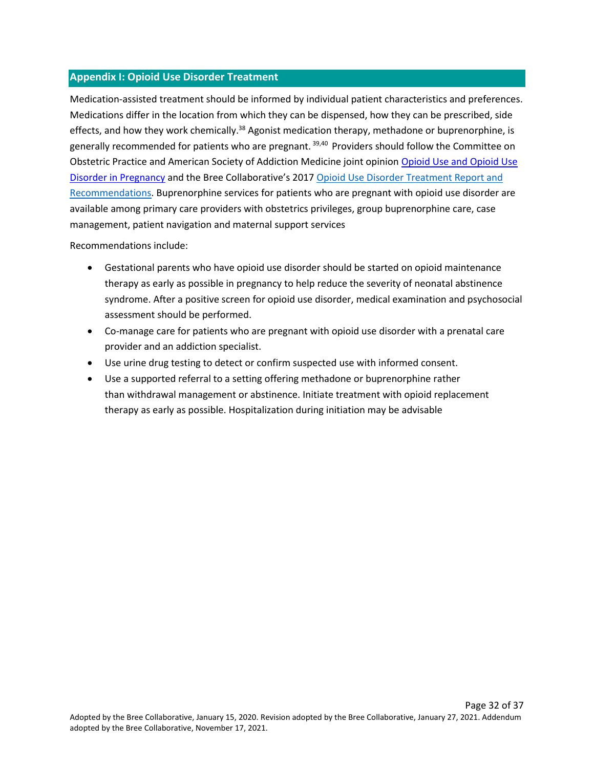# <span id="page-33-0"></span>**Appendix I: Opioid Use Disorder Treatment**

Medication-assisted treatment should be informed by individual patient characteristics and preferences. Medications differ in the location from which they can be dispensed, how they can be prescribed, side effects, and how they work chemically.<sup>38</sup> Agonist medication therapy, methadone or buprenorphine, is generally recommended for patients who are pregnant.<sup>39,40</sup> Providers should follow the Committee on Obstetric Practice and American Society of Addiction Medicine joint opinio[n Opioid Use and Opioid Use](https://www.acog.org/Resources-And-Publications/Committee-Opinions/Committee-on-Obstetric-Practice/Opioid-Use-and-Opioid-Use-Disorder-in-Pregnancy)  [Disorder in Pregnancy](https://www.acog.org/Resources-And-Publications/Committee-Opinions/Committee-on-Obstetric-Practice/Opioid-Use-and-Opioid-Use-Disorder-in-Pregnancy) and the Bree Collaborative's 2017 [Opioid Use Disorder Treatment Report and](http://www.breecollaborative.org/wp-content/uploads/OUD-Treatment-Final-2017.pdf)  [Recommendations.](http://www.breecollaborative.org/wp-content/uploads/OUD-Treatment-Final-2017.pdf) Buprenorphine services for patients who are pregnant with opioid use disorder are available among primary care providers with obstetrics privileges, group buprenorphine care, case management, patient navigation and maternal support services

Recommendations include:

- Gestational parents who have opioid use disorder should be started on opioid maintenance therapy as early as possible in pregnancy to help reduce the severity of neonatal abstinence syndrome. After a positive screen for opioid use disorder, medical examination and psychosocial assessment should be performed.
- Co-manage care for patients who are pregnant with opioid use disorder with a prenatal care provider and an addiction specialist.
- Use urine drug testing to detect or confirm suspected use with informed consent.
- Use a supported referral to a setting offering methadone or buprenorphine rather than withdrawal management or abstinence. Initiate treatment with opioid replacement therapy as early as possible. Hospitalization during initiation may be advisable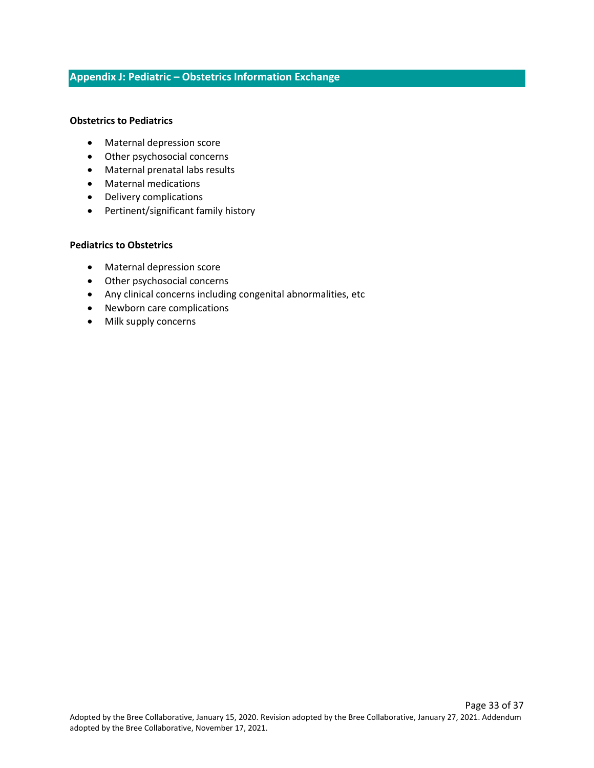# <span id="page-34-0"></span>**Appendix J: Pediatric – Obstetrics Information Exchange**

#### **Obstetrics to Pediatrics**

- Maternal depression score
- Other psychosocial concerns
- Maternal prenatal labs results
- Maternal medications
- Delivery complications
- Pertinent/significant family history

#### **Pediatrics to Obstetrics**

- Maternal depression score
- Other psychosocial concerns
- Any clinical concerns including congenital abnormalities, etc
- Newborn care complications
- Milk supply concerns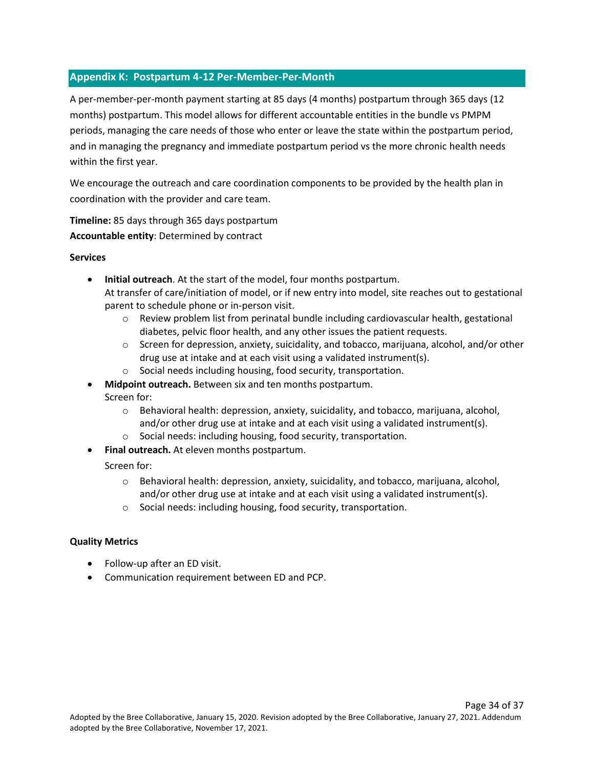# <span id="page-35-0"></span>**Appendix K: Postpartum 4-12 Per-Member-Per-Month**

A per-member-per-month payment starting at 85 days (4 months) postpartum through 365 days (12 months) postpartum. This model allows for different accountable entities in the bundle vs PMPM periods, managing the care needs of those who enter or leave the state within the postpartum period, and in managing the pregnancy and immediate postpartum period vs the more chronic health needs within the first year.

We encourage the outreach and care coordination components to be provided by the health plan in coordination with the provider and care team.

**Timeline:** 85 days through 365 days postpartum **Accountable entity**: Determined by contract

# **Services**

- **Initial outreach**. At the start of the model, four months postpartum. At transfer of care/initiation of model, or if new entry into model, site reaches out to gestational parent to schedule phone or in-person visit.
	- o Review problem list from perinatal bundle including cardiovascular health, gestational diabetes, pelvic floor health, and any other issues the patient requests.
	- $\circ$  Screen for depression, anxiety, suicidality, and tobacco, marijuana, alcohol, and/or other drug use at intake and at each visit using a validated instrument(s).
	- o Social needs including housing, food security, transportation.
- **Midpoint outreach.** Between six and ten months postpartum.
	- Screen for:
		- o Behavioral health: depression, anxiety, suicidality, and tobacco, marijuana, alcohol, and/or other drug use at intake and at each visit using a validated instrument(s).
		- o Social needs: including housing, food security, transportation.
- **Final outreach.** At eleven months postpartum.

Screen for:

- $\circ$  Behavioral health: depression, anxiety, suicidality, and tobacco, marijuana, alcohol, and/or other drug use at intake and at each visit using a validated instrument(s).
- o Social needs: including housing, food security, transportation.

# **Quality Metrics**

- Follow-up after an ED visit.
- Communication requirement between ED and PCP.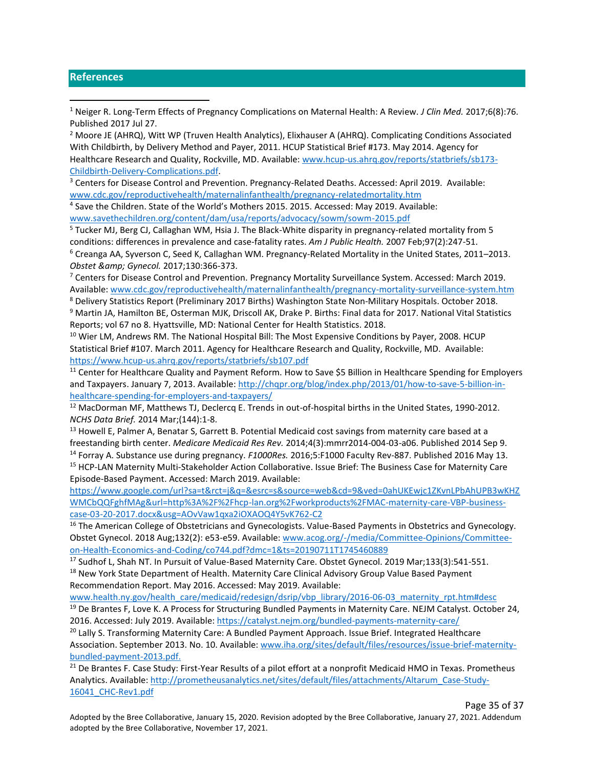#### <span id="page-36-0"></span>**References**

<sup>3</sup> Centers for Disease Control and Prevention. Pregnancy-Related Deaths. Accessed: April 2019. Available: [www.cdc.gov/reproductivehealth/maternalinfanthealth/pregnancy-relatedmortality.htm](http://www.cdc.gov/reproductivehealth/maternalinfanthealth/pregnancy-relatedmortality.htm)

4 Save the Children. State of the World's Mothers 2015. 2015. Accessed: May 2019. Available: [www.savethechildren.org/content/dam/usa/reports/advocacy/sowm/sowm-2015.pdf](http://www.savethechildren.org/content/dam/usa/reports/advocacy/sowm/sowm-2015.pdf)

<sup>5</sup> Tucker MJ, Berg CJ, Callaghan WM, Hsia J. The Black-White disparity in pregnancy-related mortality from 5 conditions: differences in prevalence and case-fatality rates. *Am J Public Health.* 2007 Feb;97(2):247-51. <sup>6</sup> Creanga AA, Syverson C, Seed K, Callaghan WM. Pregnancy-Related Mortality in the United States, 2011–2013. *Obstet & Gynecol.* 2017;130:366-373.

 $7$  Centers for Disease Control and Prevention. Pregnancy Mortality Surveillance System. Accessed: March 2019. Available: [www.cdc.gov/reproductivehealth/maternalinfanthealth/pregnancy-mortality-surveillance-system.htm](http://www.cdc.gov/reproductivehealth/maternalinfanthealth/pregnancy-mortality-surveillance-system.htm)

<sup>8</sup> Delivery Statistics Report (Preliminary 2017 Births) Washington State Non‐Military Hospitals. October 2018. <sup>9</sup> Martin JA, Hamilton BE, Osterman MJK, Driscoll AK, Drake P. Births: Final data for 2017. National Vital Statistics Reports; vol 67 no 8. Hyattsville, MD: National Center for Health Statistics. 2018.

<sup>10</sup> Wier LM, Andrews RM. The National Hospital Bill: The Most Expensive Conditions by Payer, 2008. HCUP Statistical Brief #107. March 2011. Agency for Healthcare Research and Quality, Rockville, MD. Available: <https://www.hcup-us.ahrq.gov/reports/statbriefs/sb107.pdf>

<sup>11</sup> Center for Healthcare Quality and Payment Reform. How to Save \$5 Billion in Healthcare Spending for Employers and Taxpayers. January 7, 2013. Available[: http://chqpr.org/blog/index.php/2013/01/how-to-save-5-billion-in](http://chqpr.org/blog/index.php/2013/01/how-to-save-5-billion-in-healthcare-spending-for-employers-and-taxpayers/)[healthcare-spending-for-employers-and-taxpayers/](http://chqpr.org/blog/index.php/2013/01/how-to-save-5-billion-in-healthcare-spending-for-employers-and-taxpayers/)

<sup>12</sup> MacDorman MF, Matthews TJ, Declercq E. Trends in out-of-hospital births in the United States, 1990-2012. *NCHS Data Brief.* 2014 Mar;(144):1-8.

<sup>13</sup> Howell E, Palmer A, Benatar S, Garrett B. Potential Medicaid cost savings from maternity care based at a freestanding birth center. *Medicare Medicaid Res Rev.* 2014;4(3):mmrr2014-004-03-a06. Published 2014 Sep 9. <sup>14</sup> Forray A. Substance use during pregnancy. *F1000Res.* 2016;5:F1000 Faculty Rev-887. Published 2016 May 13. <sup>15</sup> HCP-LAN Maternity Multi-Stakeholder Action Collaborative. Issue Brief: The Business Case for Maternity Care

Episode-Based Payment. Accessed: March 2019. Available:

[https://www.google.com/url?sa=t&rct=j&q=&esrc=s&source=web&cd=9&ved=0ahUKEwjc1ZKvnLPbAhUPB3wKHZ](https://www.google.com/url?sa=t&rct=j&q=&esrc=s&source=web&cd=9&ved=0ahUKEwjc1ZKvnLPbAhUPB3wKHZWMCbQQFghfMAg&url=http%3A%2F%2Fhcp-lan.org%2Fworkproducts%2FMAC-maternity-care-VBP-business-case-03-20-2017.docx&usg=AOvVaw1qxa2iOXAOQ4Y5vK762-C2) [WMCbQQFghfMAg&url=http%3A%2F%2Fhcp-lan.org%2Fworkproducts%2FMAC-maternity-care-VBP-business](https://www.google.com/url?sa=t&rct=j&q=&esrc=s&source=web&cd=9&ved=0ahUKEwjc1ZKvnLPbAhUPB3wKHZWMCbQQFghfMAg&url=http%3A%2F%2Fhcp-lan.org%2Fworkproducts%2FMAC-maternity-care-VBP-business-case-03-20-2017.docx&usg=AOvVaw1qxa2iOXAOQ4Y5vK762-C2)[case-03-20-2017.docx&usg=AOvVaw1qxa2iOXAOQ4Y5vK762-C2](https://www.google.com/url?sa=t&rct=j&q=&esrc=s&source=web&cd=9&ved=0ahUKEwjc1ZKvnLPbAhUPB3wKHZWMCbQQFghfMAg&url=http%3A%2F%2Fhcp-lan.org%2Fworkproducts%2FMAC-maternity-care-VBP-business-case-03-20-2017.docx&usg=AOvVaw1qxa2iOXAOQ4Y5vK762-C2)

<sup>16</sup> The American College of Obstetricians and Gynecologists. Value-Based Payments in Obstetrics and Gynecology. Obstet Gynecol. 2018 Aug;132(2): e53-e59. Available[: www.acog.org/-/media/Committee-Opinions/Committee](http://www.acog.org/-/media/Committee-Opinions/Committee-on-Health-Economics-and-Coding/co744.pdf?dmc=1&ts=20190711T1745460889)[on-Health-Economics-and-Coding/co744.pdf?dmc=1&ts=20190711T1745460889](http://www.acog.org/-/media/Committee-Opinions/Committee-on-Health-Economics-and-Coding/co744.pdf?dmc=1&ts=20190711T1745460889)

<sup>17</sup> Sudhof L, Shah NT. In Pursuit of Value-Based Maternity Care. Obstet Gynecol. 2019 Mar;133(3):541-551.

<sup>18</sup> New York State Department of Health. Maternity Care Clinical Advisory Group Value Based Payment Recommendation Report. May 2016. Accessed: May 2019. Available:

[www.health.ny.gov/health\\_care/medicaid/redesign/dsrip/vbp\\_library/2016-06-03\\_maternity\\_rpt.htm#desc](https://www.health.ny.gov/health_care/medicaid/redesign/dsrip/vbp_library/2016-06-03_maternity_rpt.htm#desc)

<sup>19</sup> De Brantes F, Love K. A Process for Structuring Bundled Payments in Maternity Care. NEJM Catalyst. October 24, 2016. Accessed: July 2019. Available:<https://catalyst.nejm.org/bundled-payments-maternity-care/>

<sup>20</sup> Lally S. Transforming Maternity Care: A Bundled Payment Approach. Issue Brief. Integrated Healthcare Association. September 2013. No. 10. Available[: www.iha.org/sites/default/files/resources/issue-brief-maternity](http://www.iha.org/sites/default/files/resources/issue-brief-maternity-bundled-payment-2013.pdf)[bundled-payment-2013.pdf.](http://www.iha.org/sites/default/files/resources/issue-brief-maternity-bundled-payment-2013.pdf)

<sup>21</sup> De Brantes F. Case Study: First-Year Results of a pilot effort at a nonprofit Medicaid HMO in Texas. Prometheus Analytics. Available: [http://prometheusanalytics.net/sites/default/files/attachments/Altarum\\_Case-Study-](http://prometheusanalytics.net/sites/default/files/attachments/Altarum_Case-Study-16041_CHC-Rev1.pdf)[16041\\_CHC-Rev1.pdf](http://prometheusanalytics.net/sites/default/files/attachments/Altarum_Case-Study-16041_CHC-Rev1.pdf)

Page 35 of 37

<sup>1</sup> Neiger R. Long-Term Effects of Pregnancy Complications on Maternal Health: A Review. *J Clin Med.* 2017;6(8):76. Published 2017 Jul 27.

<sup>&</sup>lt;sup>2</sup> Moore JE (AHRQ), Witt WP (Truven Health Analytics), Elixhauser A (AHRQ). Complicating Conditions Associated With Childbirth, by Delivery Method and Payer, 2011. HCUP Statistical Brief #173. May 2014. Agency for Healthcare Research and Quality, Rockville, MD. Available: [www.hcup-us.ahrq.gov/reports/statbriefs/sb173-](http://www.hcup-us.ahrq.gov/reports/statbriefs/sb173-Childbirth-Delivery-Complications.pdf) [Childbirth-Delivery-Complications.pdf.](http://www.hcup-us.ahrq.gov/reports/statbriefs/sb173-Childbirth-Delivery-Complications.pdf)